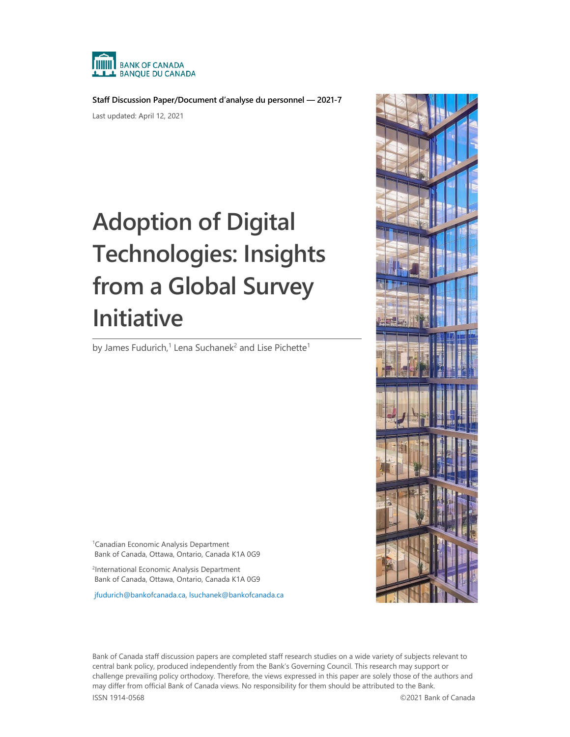

**Staff Discussion Paper/Document d'analyse du personnel — 2021-7**

Last updated: April 12, 2021

# **Adoption of Digital Technologies: Insights from a Global Survey Initiative**

by James Fudurich,<sup>1</sup> Lena Suchanek<sup>2</sup> and Lise Pichette<sup>1</sup>

1 Canadian Economic Analysis Department Bank of Canada, Ottawa, Ontario, Canada K1A 0G9

<sup>2</sup>International Economic Analysis Department Bank of Canada, Ottawa, Ontario, Canada K1A 0G9

[jfudurich@bankofcanada.ca,](mailto:jfudurich@bankofcanada.ca) [lsuchanek@bankofcanada.ca](mailto:lsuchanek@bankofcanada.ca)



Bank of Canada staff discussion papers are completed staff research studies on a wide variety of subjects relevant to central bank policy, produced independently from the Bank's Governing Council. This research may support or challenge prevailing policy orthodoxy. Therefore, the views expressed in this paper are solely those of the authors and may differ from official Bank of Canada views. No responsibility for them should be attributed to the Bank. ISSN 1914-0568 ©2021 Bank of Canada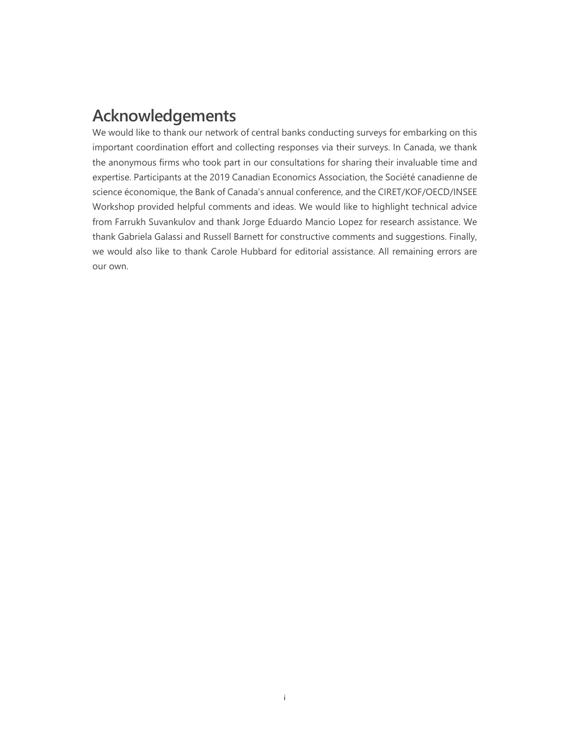# **Acknowledgements**

We would like to thank our network of central banks conducting surveys for embarking on this important coordination effort and collecting responses via their surveys. In Canada, we thank the anonymous firms who took part in our consultations for sharing their invaluable time and expertise. Participants at the 2019 Canadian Economics Association, the Société canadienne de science économique, the Bank of Canada's annual conference, and the CIRET/KOF/OECD/INSEE Workshop provided helpful comments and ideas. We would like to highlight technical advice from Farrukh Suvankulov and thank Jorge Eduardo Mancio Lopez for research assistance. We thank Gabriela Galassi and Russell Barnett for constructive comments and suggestions. Finally, we would also like to thank Carole Hubbard for editorial assistance. All remaining errors are our own.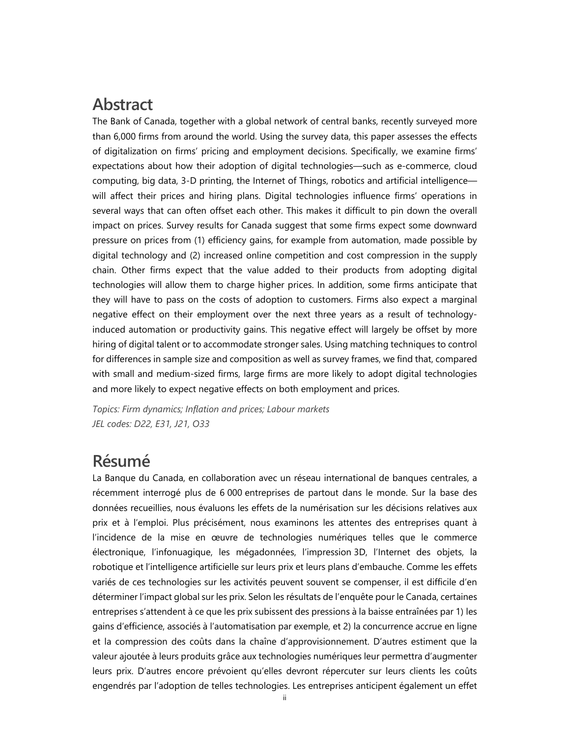# **Abstract**

The Bank of Canada, together with a global network of central banks, recently surveyed more than 6,000 firms from around the world. Using the survey data, this paper assesses the effects of digitalization on firms' pricing and employment decisions. Specifically, we examine firms' expectations about how their adoption of digital technologies—such as e-commerce, cloud computing, big data, 3-D printing, the Internet of Things, robotics and artificial intelligence will affect their prices and hiring plans. Digital technologies influence firms' operations in several ways that can often offset each other. This makes it difficult to pin down the overall impact on prices. Survey results for Canada suggest that some firms expect some downward pressure on prices from (1) efficiency gains, for example from automation, made possible by digital technology and (2) increased online competition and cost compression in the supply chain. Other firms expect that the value added to their products from adopting digital technologies will allow them to charge higher prices. In addition, some firms anticipate that they will have to pass on the costs of adoption to customers. Firms also expect a marginal negative effect on their employment over the next three years as a result of technologyinduced automation or productivity gains. This negative effect will largely be offset by more hiring of digital talent or to accommodate stronger sales. Using matching techniques to control for differences in sample size and composition as well as survey frames, we find that, compared with small and medium-sized firms, large firms are more likely to adopt digital technologies and more likely to expect negative effects on both employment and prices.

*Topics: Firm dynamics; Inflation and prices; Labour markets JEL codes: D22, E31, J21, O33*

# **Résumé**

La Banque du Canada, en collaboration avec un réseau international de banques centrales, a récemment interrogé plus de 6 000 entreprises de partout dans le monde. Sur la base des données recueillies, nous évaluons les effets de la numérisation sur les décisions relatives aux prix et à l'emploi. Plus précisément, nous examinons les attentes des entreprises quant à l'incidence de la mise en œuvre de technologies numériques telles que le commerce électronique, l'infonuagique, les mégadonnées, l'impression 3D, l'Internet des objets, la robotique et l'intelligence artificielle sur leurs prix et leurs plans d'embauche. Comme les effets variés de ces technologies sur les activités peuvent souvent se compenser, il est difficile d'en déterminer l'impact global sur les prix. Selon les résultats de l'enquête pour le Canada, certaines entreprises s'attendent à ce que les prix subissent des pressions à la baisse entraînées par 1) les gains d'efficience, associés à l'automatisation par exemple, et 2) la concurrence accrue en ligne et la compression des coûts dans la chaîne d'approvisionnement. D'autres estiment que la valeur ajoutée à leurs produits grâce aux technologies numériques leur permettra d'augmenter leurs prix. D'autres encore prévoient qu'elles devront répercuter sur leurs clients les coûts engendrés par l'adoption de telles technologies. Les entreprises anticipent également un effet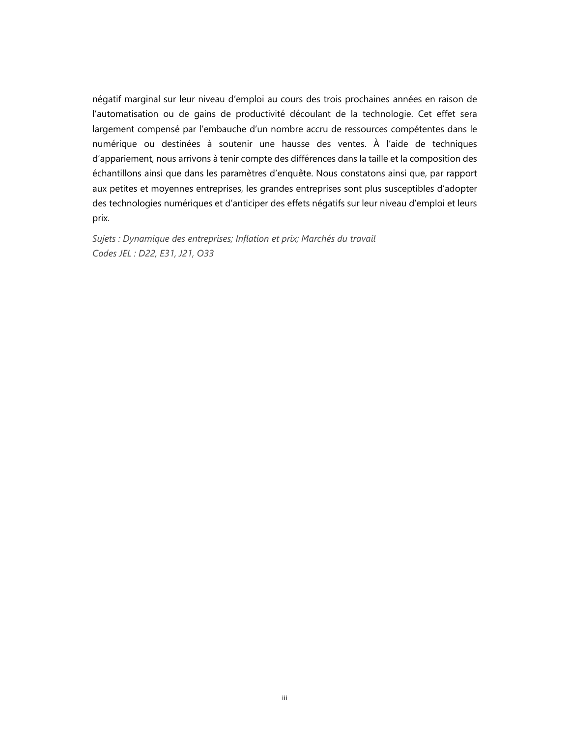négatif marginal sur leur niveau d'emploi au cours des trois prochaines années en raison de l'automatisation ou de gains de productivité découlant de la technologie. Cet effet sera largement compensé par l'embauche d'un nombre accru de ressources compétentes dans le numérique ou destinées à soutenir une hausse des ventes. À l'aide de techniques d'appariement, nous arrivons à tenir compte des différences dans la taille et la composition des échantillons ainsi que dans les paramètres d'enquête. Nous constatons ainsi que, par rapport aux petites et moyennes entreprises, les grandes entreprises sont plus susceptibles d'adopter des technologies numériques et d'anticiper des effets négatifs sur leur niveau d'emploi et leurs prix.

*Sujets : Dynamique des entreprises; Inflation et prix; Marchés du travail Codes JEL : D22, E31, J21, O33*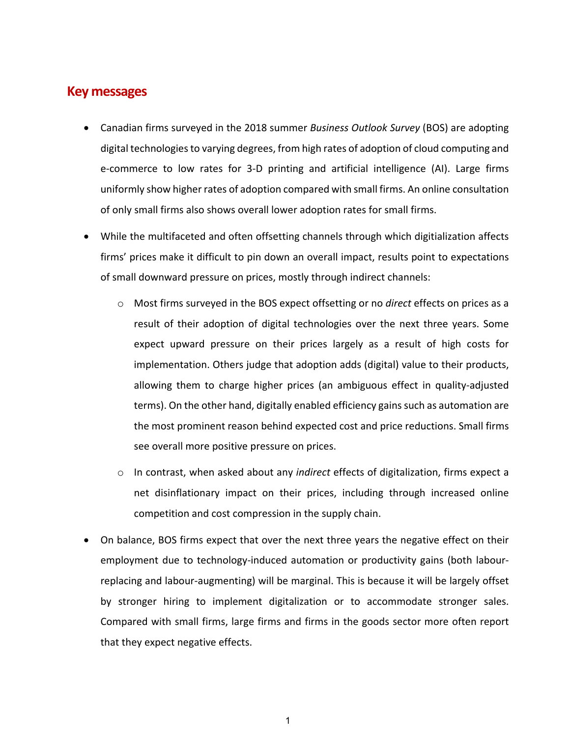## **Key messages**

- Canadian firms surveyed in the 2018 summer *Business Outlook Survey* (BOS) are adopting digital technologies to varying degrees, from high rates of adoption of cloud computing and e-commerce to low rates for 3-D printing and artificial intelligence (AI). Large firms uniformly show higher rates of adoption compared with small firms. An online consultation of only small firms also shows overall lower adoption rates for small firms.
- While the multifaceted and often offsetting channels through which digitialization affects firms' prices make it difficult to pin down an overall impact, results point to expectations of small downward pressure on prices, mostly through indirect channels:
	- o Most firms surveyed in the BOS expect offsetting or no *direct* effects on prices as a result of their adoption of digital technologies over the next three years. Some expect upward pressure on their prices largely as a result of high costs for implementation. Others judge that adoption adds (digital) value to their products, allowing them to charge higher prices (an ambiguous effect in quality-adjusted terms). On the other hand, digitally enabled efficiency gains such as automation are the most prominent reason behind expected cost and price reductions. Small firms see overall more positive pressure on prices.
	- o In contrast, when asked about any *indirect* effects of digitalization, firms expect a net disinflationary impact on their prices, including through increased online competition and cost compression in the supply chain.
- On balance, BOS firms expect that over the next three years the negative effect on their employment due to technology-induced automation or productivity gains (both labourreplacing and labour-augmenting) will be marginal. This is because it will be largely offset by stronger hiring to implement digitalization or to accommodate stronger sales. Compared with small firms, large firms and firms in the goods sector more often report that they expect negative effects.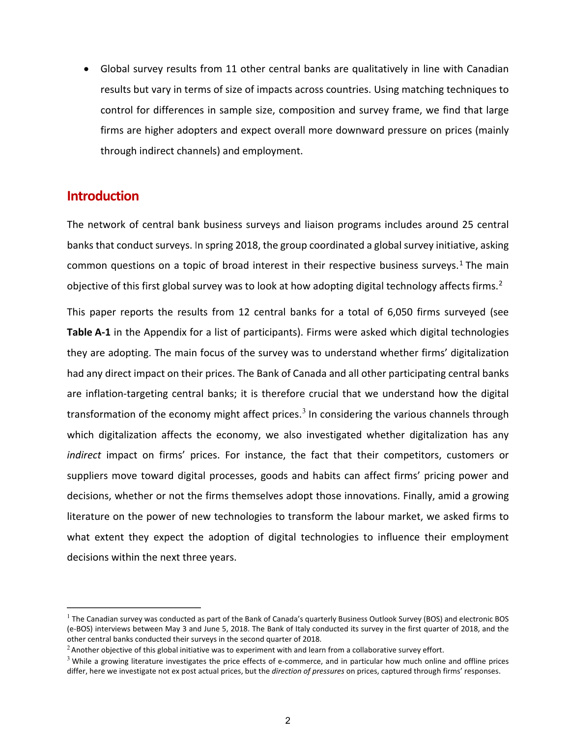• Global survey results from 11 other central banks are qualitatively in line with Canadian results but vary in terms of size of impacts across countries. Using matching techniques to control for differences in sample size, composition and survey frame, we find that large firms are higher adopters and expect overall more downward pressure on prices (mainly through indirect channels) and employment.

## **Introduction**

The network of central bank business surveys and liaison programs includes around 25 central banks that conduct surveys. In spring 2018, the group coordinated a global survey initiative, asking common questions on a topic of broad interest in their respective business surveys.<sup>[1](#page-5-0)</sup> The main objective of this first global survey was to look at how adopting digital technology affects firms.<sup>[2](#page-5-1)</sup>

This paper reports the results from 12 central banks for a total of 6,050 firms surveyed (see **Table A-1** in the Appendix for a list of participants). Firms were asked which digital technologies they are adopting. The main focus of the survey was to understand whether firms' digitalization had any direct impact on their prices. The Bank of Canada and all other participating central banks are inflation-targeting central banks; it is therefore crucial that we understand how the digital transformation of the economy might affect prices.<sup>[3](#page-5-2)</sup> In considering the various channels through which digitalization affects the economy, we also investigated whether digitalization has any *indirect* impact on firms' prices. For instance, the fact that their competitors, customers or suppliers move toward digital processes, goods and habits can affect firms' pricing power and decisions, whether or not the firms themselves adopt those innovations. Finally, amid a growing literature on the power of new technologies to transform the labour market, we asked firms to what extent they expect the adoption of digital technologies to influence their employment decisions within the next three years.

<span id="page-5-0"></span> $1$  The Canadian survey was conducted as part of the Bank of Canada's quarterly Business Outlook Survey (BOS) and electronic BOS (e-BOS) interviews between May 3 and June 5, 2018. The Bank of Italy conducted its survey in the first quarter of 2018, and the other central banks conducted their surveys in the second quarter of 2018.

<span id="page-5-1"></span> $2$  Another objective of this global initiative was to experiment with and learn from a collaborative survey effort.

<span id="page-5-2"></span> $3$  While a growing literature investigates the price effects of e-commerce, and in particular how much online and offline prices differ, here we investigate not ex post actual prices, but the *direction of pressures* on prices, captured through firms' responses.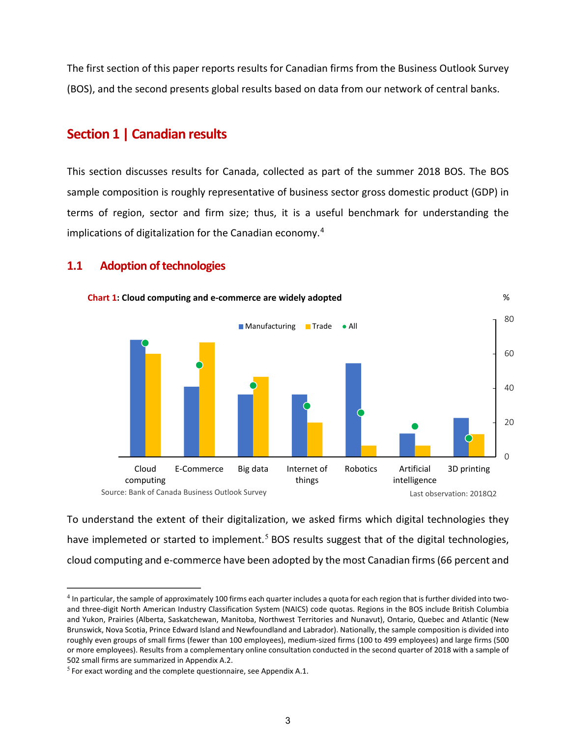The first section of this paper reports results for Canadian firms from the Business Outlook Survey (BOS), and the second presents global results based on data from our network of central banks.

## **Section 1 | Canadian results**

This section discusses results for Canada, collected as part of the summer 2018 BOS. The BOS sample composition is roughly representative of business sector gross domestic product (GDP) in terms of region, sector and firm size; thus, it is a useful benchmark for understanding the implications of digitalization for the Canadian economy.[4](#page-6-0)

## **1.1 Adoption of technologies**



To understand the extent of their digitalization, we asked firms which digital technologies they have implemeted or started to implement.<sup>[5](#page-6-1)</sup> BOS results suggest that of the digital technologies, cloud computing and e-commerce have been adopted by the most Canadian firms(66 percent and

<span id="page-6-0"></span> $4$  In particular, the sample of approximately 100 firms each quarter includes a quota for each region that is further divided into twoand three-digit North American Industry Classification System (NAICS) code quotas. Regions in the BOS include British Columbia and Yukon, Prairies (Alberta, Saskatchewan, Manitoba, Northwest Territories and Nunavut), Ontario, Quebec and Atlantic (New Brunswick, Nova Scotia, Prince Edward Island and Newfoundland and Labrador). Nationally, the sample composition is divided into roughly even groups of small firms (fewer than 100 employees), medium-sized firms (100 to 499 employees) and large firms (500 or more employees). Results from a complementary online consultation conducted in the second quarter of 2018 with a sample of 502 small firms are summarized in Appendix A.2.

<span id="page-6-1"></span> $5$  For exact wording and the complete questionnaire, see Appendix A.1.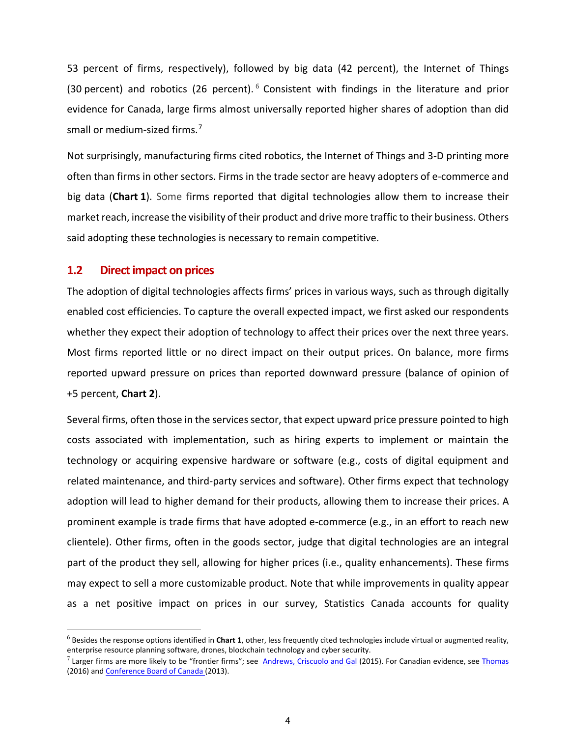53 percent of firms, respectively), followed by big data (42 percent), the Internet of Things (30 percent) and robotics (2[6](#page-7-0) percent).  $6$  Consistent with findings in the literature and prior evidence for Canada, large firms almost universally reported higher shares of adoption than did small or medium-sized firms.<sup>[7](#page-7-1)</sup>

Not surprisingly, manufacturing firms cited robotics, the Internet of Things and 3-D printing more often than firms in other sectors. Firms in the trade sector are heavy adopters of e-commerce and big data (**Chart 1**). Some firms reported that digital technologies allow them to increase their market reach, increase the visibility of their product and drive more traffic to their business. Others said adopting these technologies is necessary to remain competitive.

#### **1.2 Direct impact on prices**

The adoption of digital technologies affects firms' prices in various ways, such as through digitally enabled cost efficiencies. To capture the overall expected impact, we first asked our respondents whether they expect their adoption of technology to affect their prices over the next three years. Most firms reported little or no direct impact on their output prices. On balance, more firms reported upward pressure on prices than reported downward pressure (balance of opinion of +5 percent, **Chart 2**).

Several firms, often those in the services sector, that expect upward price pressure pointed to high costs associated with implementation, such as hiring experts to implement or maintain the technology or acquiring expensive hardware or software (e.g., costs of digital equipment and related maintenance, and third-party services and software). Other firms expect that technology adoption will lead to higher demand for their products, allowing them to increase their prices. A prominent example is trade firms that have adopted e-commerce (e.g., in an effort to reach new clientele). Other firms, often in the goods sector, judge that digital technologies are an integral part of the product they sell, allowing for higher prices (i.e., quality enhancements). These firms may expect to sell a more customizable product. Note that while improvements in quality appear as a net positive impact on prices in our survey, Statistics Canada accounts for quality

<span id="page-7-0"></span><sup>6</sup> Besides the response options identified in **Chart 1**, other, less frequently cited technologies include virtual or augmented reality, enterprise resource planning software, drones, blockchain technology and cyber security.

<span id="page-7-1"></span> $7$  Larger firms are more likely to be "frontier firms"; see [Andrews, Criscuolo and Gal](https://www.oecd-ilibrary.org/docserver/5jrql2q2jj7b-en.pdf?expires=1537464584&id=id&accname=guest&checksum=0E88C888976C87684381DD8DCC08E1BA) (2015). For Canadian evidence, see [Thomas](http://www.csls.ca/reports/csls2016-01.pdf) (2016) an[d Conference Board of Canada](https://www.conferenceboard.ca/hcp/Details/Innovation/ict.aspx) (2013).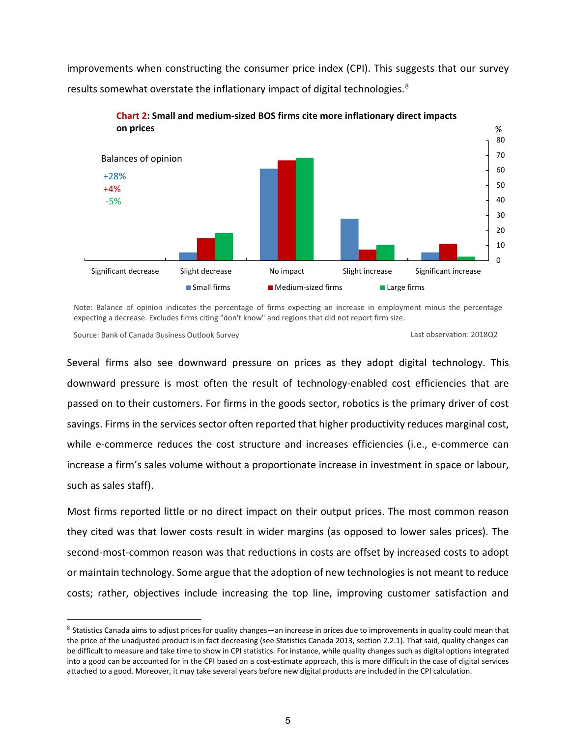improvements when constructing the consumer price index (CPI). This suggests that our survey results somewhat overstate the inflationary impact of digital technologies.<sup>[8](#page-8-0)</sup>



**Chart 2: Small and medium-sized BOS firms cite more inflationary direct impacts** 

Note: Balance of opinion indicates the percentage of firms expecting an increase in employment minus the percentage expecting a decrease. Excludes firms citing "don't know" and regions that did not report firm size.

Source: Bank of Canada Business Outlook Survey Last observation: 2018Q2

Several firms also see downward pressure on prices as they adopt digital technology. This downward pressure is most often the result of technology-enabled cost efficiencies that are passed on to their customers. For firms in the goods sector, robotics is the primary driver of cost savings. Firms in the services sector often reported that higher productivity reduces marginal cost, while e-commerce reduces the cost structure and increases efficiencies (i.e., e-commerce can increase a firm's sales volume without a proportionate increase in investment in space or labour, such as sales staff).

Most firms reported little or no direct impact on their output prices. The most common reason they cited was that lower costs result in wider margins (as opposed to lower sales prices). The second-most-common reason was that reductions in costs are offset by increased costs to adopt or maintain technology. Some argue that the adoption of new technologies is not meant to reduce costs; rather, objectives include increasing the top line, improving customer satisfaction and

<span id="page-8-0"></span> $8$  Statistics Canada aims to adjust prices for quality changes—an increase in prices due to improvements in quality could mean that the price of the unadjusted product is in fact decreasing (see Statistics Canada 2013, section 2.2.1). That said, quality changes can be difficult to measure and take time to show in CPI statistics. For instance, while quality changes such as digital options integrated into a good can be accounted for in the CPI based on a cost-estimate approach, this is more difficult in the case of digital services attached to a good. Moreover, it may take several years before new digital products are included in the CPI calculation.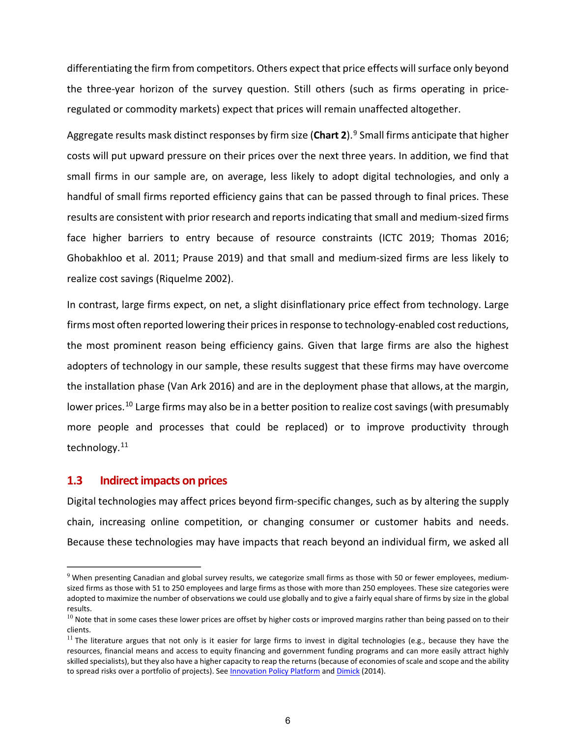differentiating the firm from competitors. Others expect that price effects will surface only beyond the three-year horizon of the survey question. Still others (such as firms operating in priceregulated or commodity markets) expect that prices will remain unaffected altogether.

Aggregate results mask distinct responses by firm size (**Chart 2**). [9](#page-9-0) Small firms anticipate that higher costs will put upward pressure on their prices over the next three years. In addition, we find that small firms in our sample are, on average, less likely to adopt digital technologies, and only a handful of small firms reported efficiency gains that can be passed through to final prices. These results are consistent with prior research and reportsindicating that small and medium-sized firms face higher barriers to entry because of resource constraints [\(ICTC](https://www.ictc-ctic.ca/digital-advantage-small-businesses/) 2019; Thomas 2016; Ghobakhloo et al. 2011; Prause 2019) and that small and medium-sized firms are less likely to realize cost savings (Riquelme 2002).

In contrast, large firms expect, on net, a slight disinflationary price effect from technology. Large firms most often reported lowering their prices in response to technology-enabled cost reductions, the most prominent reason being efficiency gains. Given that large firms are also the highest adopters of technology in our sample, these results suggest that these firms may have overcome the installation phase (Van Ark 2016) and are in the deployment phase that allows, at the margin, lower prices.<sup>[10](#page-9-1)</sup> Large firms may also be in a better position to realize cost savings (with presumably more people and processes that could be replaced) or to improve productivity through technology.[11](#page-9-2)

#### **1.3 Indirect impacts on prices**

Digital technologies may affect prices beyond firm-specific changes, such as by altering the supply chain, increasing online competition, or changing consumer or customer habits and needs. Because these technologies may have impacts that reach beyond an individual firm, we asked all

<span id="page-9-0"></span> $9$  When presenting Canadian and global survey results, we categorize small firms as those with 50 or fewer employees, mediumsized firms as those with 51 to 250 employees and large firms as those with more than 250 employees. These size categories were adopted to maximize the number of observations we could use globally and to give a fairly equal share of firms by size in the global results.

<span id="page-9-1"></span> $10$  Note that in some cases these lower prices are offset by higher costs or improved margins rather than being passed on to their clients.

<span id="page-9-2"></span> $11$  The literature argues that not only is it easier for large firms to invest in digital technologies (e.g., because they have the resources, financial means and access to equity financing and government funding programs and can more easily attract highly skilled specialists), but they also have a higher capacity to reap the returns (because of economies of scale and scope and the ability to spread risks over a portfolio of projects). Se[e Innovation Policy Platform](http://www.innovationpolicyplatform.org/www.innovationpolicyplatform.org/content/large-firms/index.html) and [Dimick](https://www.nrc-cnrc.gc.ca/obj/doc/irap-pari/dtapp-ppatn/resources-ressources/REPORT_6029_adoptingdigitaltechnologies_en.pdf) (2014).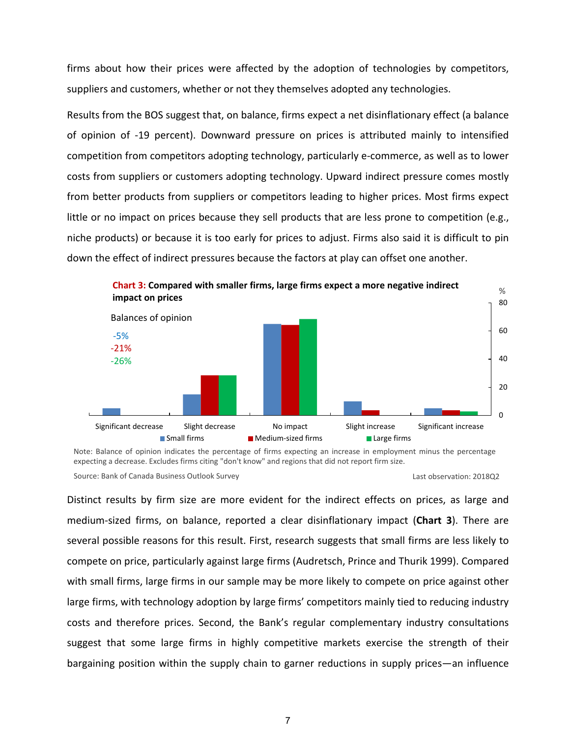firms about how their prices were affected by the adoption of technologies by competitors, suppliers and customers, whether or not they themselves adopted any technologies.

Results from the BOS suggest that, on balance, firms expect a net disinflationary effect (a balance of opinion of -19 percent). Downward pressure on prices is attributed mainly to intensified competition from competitors adopting technology, particularly e-commerce, as well as to lower costs from suppliers or customers adopting technology. Upward indirect pressure comes mostly from better products from suppliers or competitors leading to higher prices. Most firms expect little or no impact on prices because they sell products that are less prone to competition (e.g., niche products) or because it is too early for prices to adjust. Firms also said it is difficult to pin down the effect of indirect pressures because the factors at play can offset one another.



Note: Balance of opinion indicates the percentage of firms expecting an increase in employment minus the percentage expecting a decrease. Excludes firms citing "don't know" and regions that did not report firm size.

Source: Bank of Canada Business Outlook Survey Last observation: 2018Q2

Distinct results by firm size are more evident for the indirect effects on prices, as large and medium-sized firms, on balance, reported a clear disinflationary impact (**Chart 3**). There are several possible reasons for this result. First, research suggests that small firms are less likely to compete on price, particularly against large firms (Audretsch, Prince and Thurik 1999). Compared with small firms, large firms in our sample may be more likely to compete on price against other large firms, with technology adoption by large firms' competitors mainly tied to reducing industry costs and therefore prices. Second, the Bank's regular complementary industry consultations suggest that some large firms in highly competitive markets exercise the strength of their bargaining position within the supply chain to garner reductions in supply prices—an influence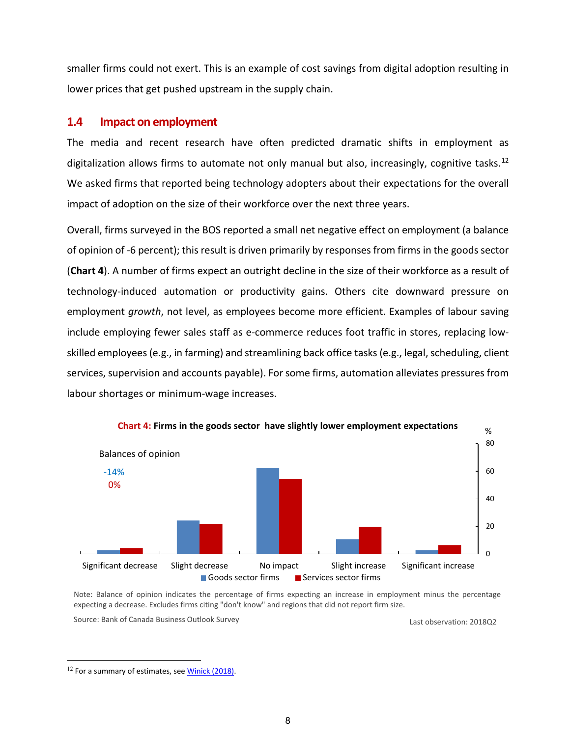smaller firms could not exert. This is an example of cost savings from digital adoption resulting in lower prices that get pushed upstream in the supply chain.

## **1.4 Impact on employment**

The media and recent research have often predicted dramatic shifts in employment as digitalization allows firms to automate not only manual but also, increasingly, cognitive tasks.<sup>[12](#page-11-0)</sup> We asked firms that reported being technology adopters about their expectations for the overall impact of adoption on the size of their workforce over the next three years.

Overall, firms surveyed in the BOS reported a small net negative effect on employment (a balance of opinion of -6 percent); this result is driven primarily by responses from firms in the goods sector (**Chart 4**). A number of firms expect an outright decline in the size of their workforce as a result of technology-induced automation or productivity gains. Others cite downward pressure on employment *growth*, not level, as employees become more efficient. Examples of labour saving include employing fewer sales staff as e-commerce reduces foot traffic in stores, replacing lowskilled employees (e.g., in farming) and streamlining back office tasks (e.g., legal, scheduling, client services, supervision and accounts payable). For some firms, automation alleviates pressures from labour shortages or minimum-wage increases.



Note: Balance of opinion indicates the percentage of firms expecting an increase in employment minus the percentage expecting a decrease. Excludes firms citing "don't know" and regions that did not report firm size.

Last observation: 2018Q2 Source: Bank of Canada Business Outlook Survey

<span id="page-11-0"></span><sup>&</sup>lt;sup>12</sup> For a summary of estimates, see Winick (2018).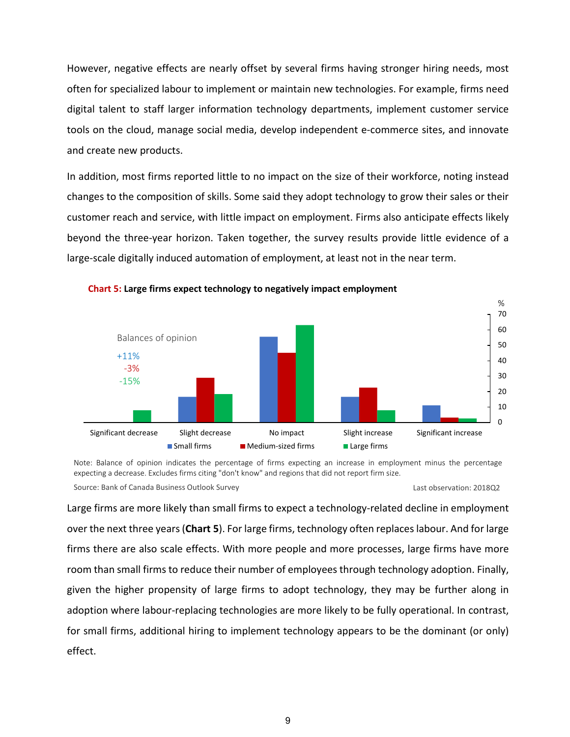However, negative effects are nearly offset by several firms having stronger hiring needs, most often for specialized labour to implement or maintain new technologies. For example, firms need digital talent to staff larger information technology departments, implement customer service tools on the cloud, manage social media, develop independent e-commerce sites, and innovate and create new products.

In addition, most firms reported little to no impact on the size of their workforce, noting instead changes to the composition of skills. Some said they adopt technology to grow their sales or their customer reach and service, with little impact on employment. Firms also anticipate effects likely beyond the three-year horizon. Taken together, the survey results provide little evidence of a large-scale digitally induced automation of employment, at least not in the near term.



#### **Chart 5: Large firms expect technology to negatively impact employment**

Note: Balance of opinion indicates the percentage of firms expecting an increase in employment minus the percentage expecting a decrease. Excludes firms citing "don't know" and regions that did not report firm size. Source: Bank of Canada Business Outlook Survey Last observation: 2018Q2

Large firms are more likely than small firms to expect a technology-related decline in employment over the next three years (**Chart 5**). For large firms, technology often replaceslabour. And for large firms there are also scale effects. With more people and more processes, large firms have more room than small firms to reduce their number of employees through technology adoption. Finally, given the higher propensity of large firms to adopt technology, they may be further along in adoption where labour-replacing technologies are more likely to be fully operational. In contrast, for small firms, additional hiring to implement technology appears to be the dominant (or only) effect.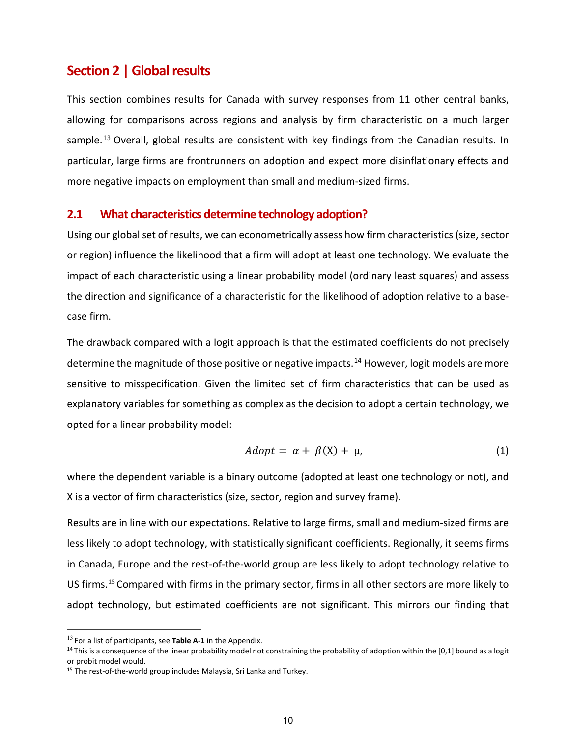## **Section 2 | Global results**

This section combines results for Canada with survey responses from 11 other central banks, allowing for comparisons across regions and analysis by firm characteristic on a much larger sample.<sup>[13](#page-13-0)</sup> Overall, global results are consistent with key findings from the Canadian results. In particular, large firms are frontrunners on adoption and expect more disinflationary effects and more negative impacts on employment than small and medium-sized firms.

#### **2.1 What characteristics determine technology adoption?**

Using our global set of results, we can econometrically assess how firm characteristics (size, sector or region) influence the likelihood that a firm will adopt at least one technology. We evaluate the impact of each characteristic using a linear probability model (ordinary least squares) and assess the direction and significance of a characteristic for the likelihood of adoption relative to a basecase firm.

The drawback compared with a logit approach is that the estimated coefficients do not precisely determine the magnitude of those positive or negative impacts.<sup>[14](#page-13-1)</sup> However, logit models are more sensitive to misspecification. Given the limited set of firm characteristics that can be used as explanatory variables for something as complex as the decision to adopt a certain technology, we opted for a linear probability model:

$$
Adopt = \alpha + \beta(X) + \mu,
$$
 (1)

where the dependent variable is a binary outcome (adopted at least one technology or not), and X is a vector of firm characteristics (size, sector, region and survey frame).

Results are in line with our expectations. Relative to large firms, small and medium-sized firms are less likely to adopt technology, with statistically significant coefficients. Regionally, it seems firms in Canada, Europe and the rest-of-the-world group are less likely to adopt technology relative to US firms. [15](#page-13-2) Compared with firms in the primary sector, firms in all other sectors are more likely to adopt technology, but estimated coefficients are not significant. This mirrors our finding that

<span id="page-13-0"></span><sup>13</sup> For a list of participants, see **Table A-1** in the Appendix.

<span id="page-13-1"></span> $14$  This is a consequence of the linear probability model not constraining the probability of adoption within the [0,1] bound as a logit or probit model would.

<span id="page-13-2"></span><sup>&</sup>lt;sup>15</sup> The rest-of-the-world group includes Malaysia, Sri Lanka and Turkey.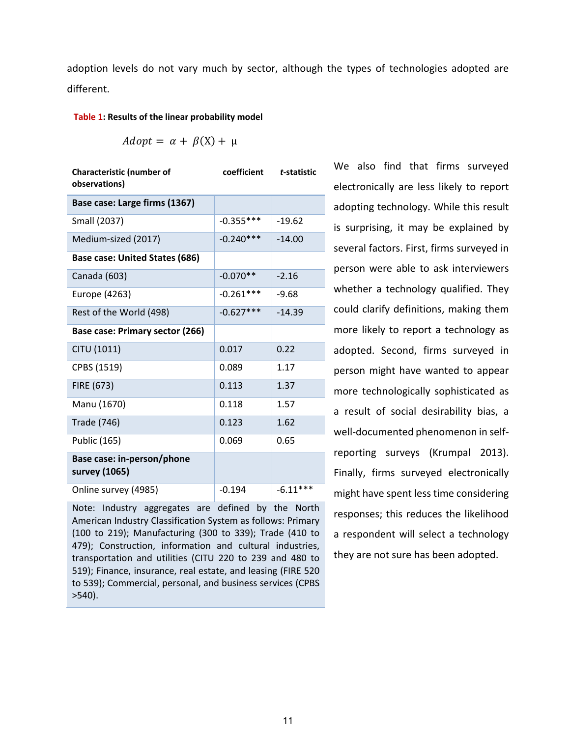adoption levels do not vary much by sector, although the types of technologies adopted are different.

#### **Table 1: Results of the linear probability model**

$$
Adopt = \alpha + \beta(X) + \mu
$$

| <b>Characteristic (number of</b><br>observations) | coefficient | t-statistic |
|---------------------------------------------------|-------------|-------------|
| Base case: Large firms (1367)                     |             |             |
| Small (2037)                                      | $-0.355***$ | $-19.62$    |
| Medium-sized (2017)                               | $-0.240***$ | $-14.00$    |
| <b>Base case: United States (686)</b>             |             |             |
| Canada (603)                                      | $-0.070**$  | $-2.16$     |
| Europe (4263)                                     | -0.261***   | $-9.68$     |
| Rest of the World (498)                           | $-0.627***$ | $-14.39$    |
| Base case: Primary sector (266)                   |             |             |
| CITU (1011)                                       | 0.017       | 0.22        |
| CPBS (1519)                                       | 0.089       | 1.17        |
| FIRE (673)                                        | 0.113       | 1.37        |
| Manu (1670)                                       | 0.118       | 1.57        |
| <b>Trade (746)</b>                                | 0.123       | 1.62        |
| Public (165)                                      | 0.069       | 0.65        |
| Base case: in-person/phone<br>survey (1065)       |             |             |
| Online survey (4985)                              | $-0.194$    | $-6.11***$  |

Note: Industry aggregates are defined by the North American Industry Classification System as follows: Primary (100 to 219); Manufacturing (300 to 339); Trade (410 to 479); Construction, information and cultural industries, transportation and utilities (CITU 220 to 239 and 480 to 519); Finance, insurance, real estate, and leasing (FIRE 520 to 539); Commercial, personal, and business services (CPBS >540).

We also find that firms surveyed electronically are less likely to report adopting technology. While this result is surprising, it may be explained by several factors. First, firms surveyed in person were able to ask interviewers whether a technology qualified. They could clarify definitions, making them more likely to report a technology as adopted. Second, firms surveyed in person might have wanted to appear more technologically sophisticated as a result of social desirability bias, a well-documented phenomenon in selfreporting surveys (Krumpal 2013). Finally, firms surveyed electronically might have spent less time considering responses; this reduces the likelihood a respondent will select a technology they are not sure has been adopted.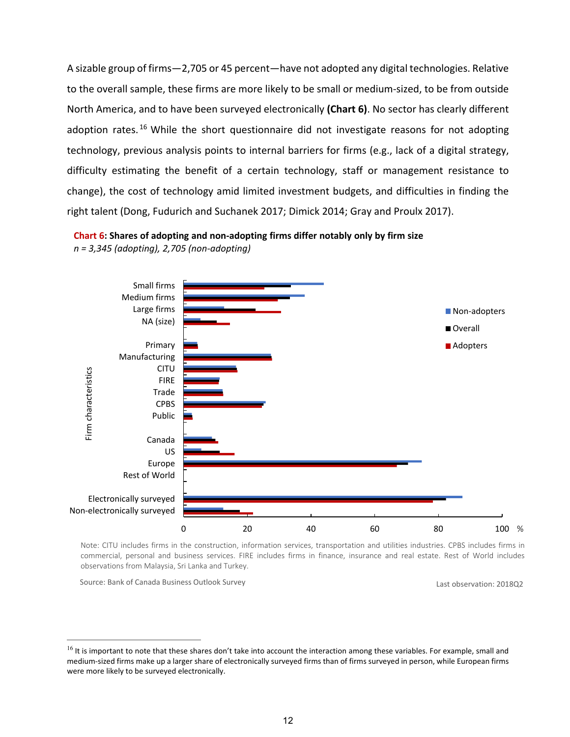A sizable group of firms—2,705 or 45 percent—have not adopted any digital technologies. Relative to the overall sample, these firms are more likely to be small or medium-sized, to be from outside North America, and to have been surveyed electronically **(Chart 6)**. No sector has clearly different adoption rates.<sup>[16](#page-15-0)</sup> While the short questionnaire did not investigate reasons for not adopting technology, previous analysis points to internal barriers for firms (e.g., lack of a digital strategy, difficulty estimating the benefit of a certain technology, staff or management resistance to change), the cost of technology amid limited investment budgets, and difficulties in finding the right talent (Dong, Fudurich and Suchanek 2017; Dimick 2014; Gray and Proulx 2017).





Note: CITU includes firms in the construction, information services, transportation and utilities industries. CPBS includes firms in commercial, personal and business services. FIRE includes firms in finance, insurance and real estate. Rest of World includes observations from Malaysia, Sri Lanka and Turkey.

Source: Bank of Canada Business Outlook Survey Last observation: 2018Q2

<span id="page-15-0"></span><sup>&</sup>lt;sup>16</sup> It is important to note that these shares don't take into account the interaction among these variables. For example, small and medium-sized firms make up a larger share of electronically surveyed firms than of firms surveyed in person, while European firms were more likely to be surveyed electronically.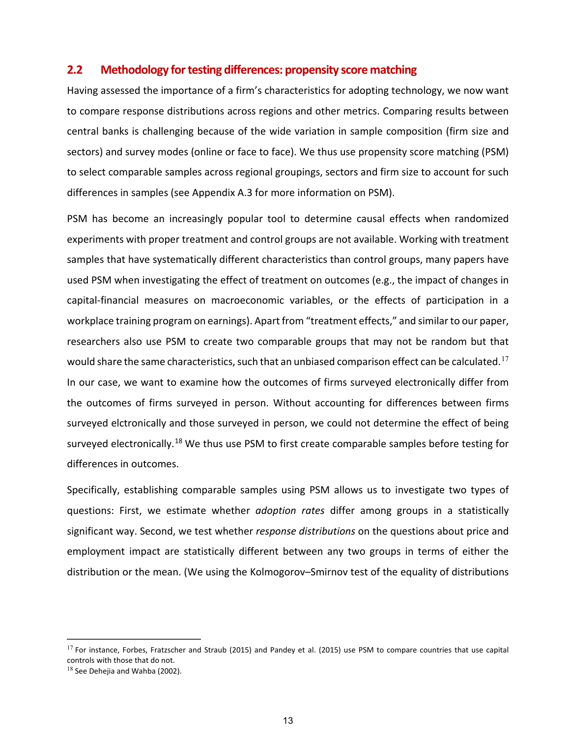## **2.2 Methodology for testing differences: propensity score matching**

Having assessed the importance of a firm's characteristics for adopting technology, we now want to compare response distributions across regions and other metrics. Comparing results between central banks is challenging because of the wide variation in sample composition (firm size and sectors) and survey modes (online or face to face). We thus use propensity score matching (PSM) to select comparable samples across regional groupings, sectors and firm size to account for such differences in samples (see Appendix A.3 for more information on PSM).

PSM has become an increasingly popular tool to determine causal effects when randomized experiments with proper treatment and control groups are not available. Working with treatment samples that have systematically different characteristics than control groups, many papers have used PSM when investigating the effect of treatment on outcomes (e.g., the impact of changes in capital-financial measures on macroeconomic variables, or the effects of participation in a workplace training program on earnings). Apart from "treatment effects," and similar to our paper, researchers also use PSM to create two comparable groups that may not be random but that would share the same characteristics, such that an unbiased comparison effect can be calculated.<sup>[17](#page-16-0)</sup> In our case, we want to examine how the outcomes of firms surveyed electronically differ from the outcomes of firms surveyed in person. Without accounting for differences between firms surveyed elctronically and those surveyed in person, we could not determine the effect of being surveyed electronically.<sup>[18](#page-16-1)</sup> We thus use PSM to first create comparable samples before testing for differences in outcomes.

Specifically, establishing comparable samples using PSM allows us to investigate two types of questions: First, we estimate whether *adoption rates* differ among groups in a statistically significant way. Second, we test whether *response distributions* on the questions about price and employment impact are statistically different between any two groups in terms of either the distribution or the mean. (We using the Kolmogorov–Smirnov test of the equality of distributions

<span id="page-16-0"></span><sup>&</sup>lt;sup>17</sup> For instance, Forbes, Fratzscher and Straub (2015) and Pandey et al. (2015) use PSM to compare countries that use capital controls with those that do not.

<span id="page-16-1"></span> $18$  See Dehejia and Wahba (2002).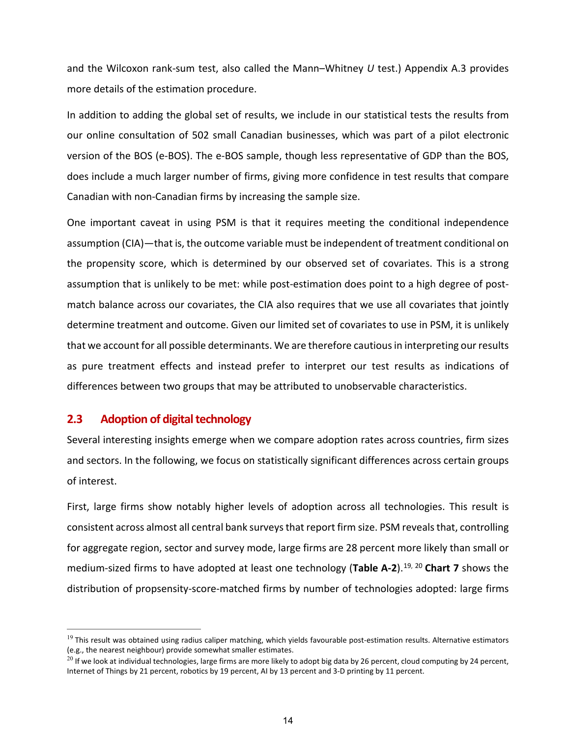and the Wilcoxon rank-sum test, also called the Mann–Whitney *U* test.) Appendix A.3 provides more details of the estimation procedure.

In addition to adding the global set of results, we include in our statistical tests the results from our online consultation of 502 small Canadian businesses, which was part of a pilot electronic version of the BOS (e-BOS). The e-BOS sample, though less representative of GDP than the BOS, does include a much larger number of firms, giving more confidence in test results that compare Canadian with non-Canadian firms by increasing the sample size.

One important caveat in using PSM is that it requires meeting the conditional independence assumption (CIA)—that is, the outcome variable must be independent of treatment conditional on the propensity score, which is determined by our observed set of covariates. This is a strong assumption that is unlikely to be met: while post-estimation does point to a high degree of postmatch balance across our covariates, the CIA also requires that we use all covariates that jointly determine treatment and outcome. Given our limited set of covariates to use in PSM, it is unlikely that we account for all possible determinants. We are therefore cautious in interpreting our results as pure treatment effects and instead prefer to interpret our test results as indications of differences between two groups that may be attributed to unobservable characteristics.

## **2.3 Adoption of digital technology**

Several interesting insights emerge when we compare adoption rates across countries, firm sizes and sectors. In the following, we focus on statistically significant differences across certain groups of interest.

First, large firms show notably higher levels of adoption across all technologies. This result is consistent across almost all central bank surveysthat report firm size. PSM reveals that, controlling for aggregate region, sector and survey mode, large firms are 28 percent more likely than small or medium-sized firms to have adopted at least one technology (**Table A-2**). [19,](#page-17-0) [20](#page-17-1) **Chart 7** shows the distribution of propsensity-score-matched firms by number of technologies adopted: large firms

<span id="page-17-0"></span> $19$  This result was obtained using radius caliper matching, which yields favourable post-estimation results. Alternative estimators (e.g., the nearest neighbour) provide somewhat smaller estimates.

<span id="page-17-1"></span> $^{20}$  If we look at individual technologies, large firms are more likely to adopt big data by 26 percent, cloud computing by 24 percent, Internet of Things by 21 percent, robotics by 19 percent, AI by 13 percent and 3-D printing by 11 percent.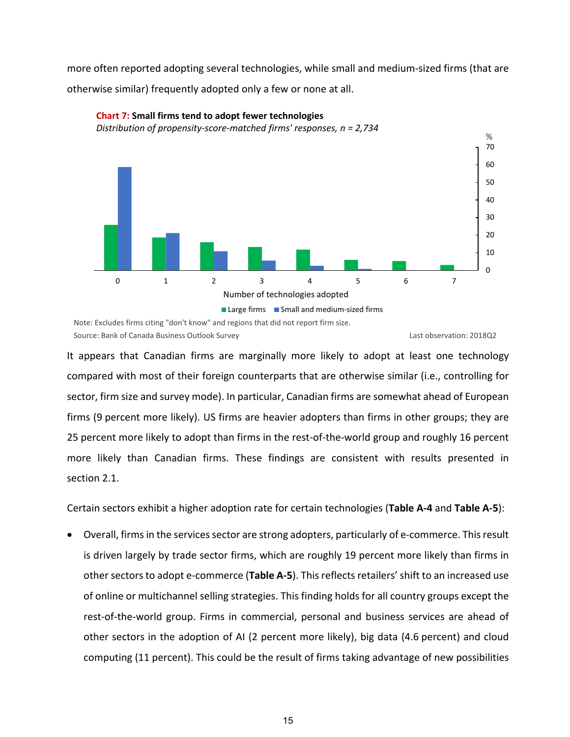more often reported adopting several technologies, while small and medium-sized firms (that are otherwise similar) frequently adopted only a few or none at all.



#### **Chart 7: Small firms tend to adopt fewer technologies**

*Distribution of propensity-score-matched firms' responses, n = 2,734*

Note: Excludes firms citing "don't know" and regions that did not report firm size. Source: Bank of Canada Business Outlook Survey Last observation: 2018Q2

It appears that Canadian firms are marginally more likely to adopt at least one technology compared with most of their foreign counterparts that are otherwise similar (i.e., controlling for sector, firm size and survey mode). In particular, Canadian firms are somewhat ahead of European firms (9 percent more likely). US firms are heavier adopters than firms in other groups; they are 25 percent more likely to adopt than firms in the rest-of-the-world group and roughly 16 percent more likely than Canadian firms. These findings are consistent with results presented in section 2.1.

Certain sectors exhibit a higher adoption rate for certain technologies (**Table A-4** and **Table A-5**):

Overall, firms in the services sector are strong adopters, particularly of e-commerce. This result is driven largely by trade sector firms, which are roughly 19 percent more likely than firms in other sectors to adopt e-commerce (Table A-5). This reflects retailers' shift to an increased use of online or multichannel selling strategies. This finding holds for all country groups except the rest-of-the-world group. Firms in commercial, personal and business services are ahead of other sectors in the adoption of AI (2 percent more likely), big data (4.6 percent) and cloud computing (11 percent). This could be the result of firms taking advantage of new possibilities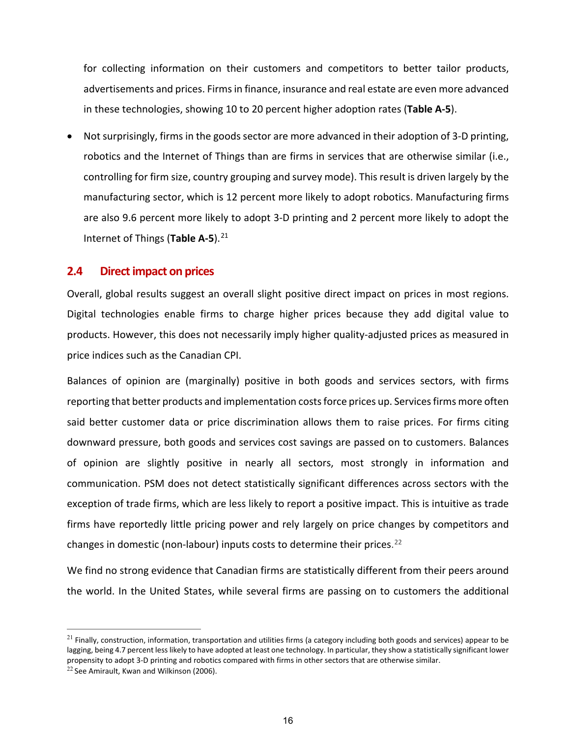for collecting information on their customers and competitors to better tailor products, advertisements and prices. Firms in finance, insurance and real estate are even more advanced in these technologies, showing 10 to 20 percent higher adoption rates (**Table A-5**).

• Not surprisingly, firms in the goods sector are more advanced in their adoption of 3-D printing, robotics and the Internet of Things than are firms in services that are otherwise similar (i.e., controlling for firm size, country grouping and survey mode). This result is driven largely by the manufacturing sector, which is 12 percent more likely to adopt robotics. Manufacturing firms are also 9.6 percent more likely to adopt 3-D printing and 2 percent more likely to adopt the Internet of Things (**Table A-5**). [21](#page-19-0)

#### **2.4 Direct impact on prices**

Overall, global results suggest an overall slight positive direct impact on prices in most regions. Digital technologies enable firms to charge higher prices because they add digital value to products. However, this does not necessarily imply higher quality-adjusted prices as measured in price indices such as the Canadian CPI.

Balances of opinion are (marginally) positive in both goods and services sectors, with firms reporting that better products and implementation costs force prices up. Services firms more often said better customer data or price discrimination allows them to raise prices. For firms citing downward pressure, both goods and services cost savings are passed on to customers. Balances of opinion are slightly positive in nearly all sectors, most strongly in information and communication. PSM does not detect statistically significant differences across sectors with the exception of trade firms, which are less likely to report a positive impact. This is intuitive as trade firms have reportedly little pricing power and rely largely on price changes by competitors and changes in domestic (non-labour) inputs costs to determine their prices.<sup>[22](#page-19-1)</sup>

We find no strong evidence that Canadian firms are statistically different from their peers around the world. In the United States, while several firms are passing on to customers the additional

<span id="page-19-0"></span> $^{21}$  Finally, construction, information, transportation and utilities firms (a category including both goods and services) appear to be lagging, being 4.7 percent less likely to have adopted at least one technology. In particular, they show a statistically significant lower propensity to adopt 3-D printing and robotics compared with firms in other sectors that are otherwise similar.

<span id="page-19-1"></span> $22$  See Amirault, Kwan and Wilkinson (2006).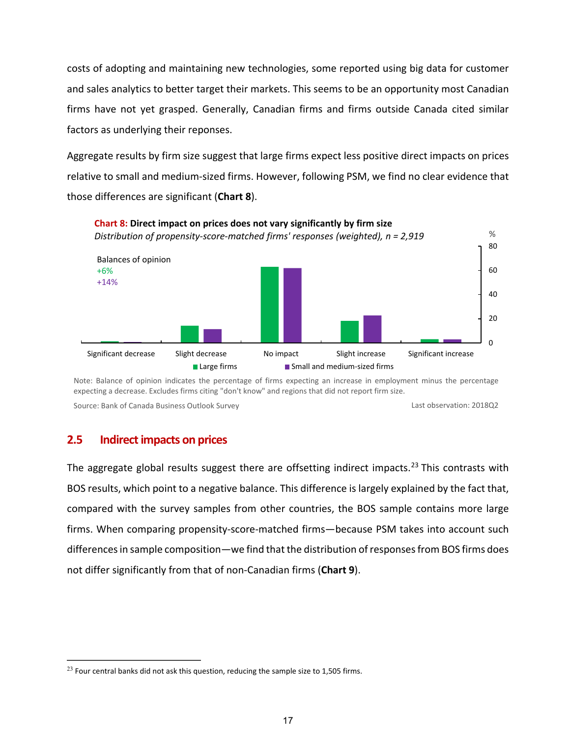costs of adopting and maintaining new technologies, some reported using big data for customer and sales analytics to better target their markets. This seems to be an opportunity most Canadian firms have not yet grasped. Generally, Canadian firms and firms outside Canada cited similar factors as underlying their reponses.

Aggregate results by firm size suggest that large firms expect less positive direct impacts on prices relative to small and medium-sized firms. However, following PSM, we find no clear evidence that those differences are significant (**Chart 8**).



Note: Balance of opinion indicates the percentage of firms expecting an increase in employment minus the percentage expecting a decrease. Excludes firms citing "don't know" and regions that did not report firm size.

Source: Bank of Canada Business Outlook Survey Last observation: 2018Q2

## **2.5 Indirect impacts on prices**

The aggregate global results suggest there are offsetting indirect impacts.<sup>[23](#page-20-0)</sup> This contrasts with BOS results, which point to a negative balance. This difference is largely explained by the fact that, compared with the survey samples from other countries, the BOS sample contains more large firms. When comparing propensity-score-matched firms—because PSM takes into account such differences in sample composition—we find that the distribution of responses from BOS firms does not differ significantly from that of non-Canadian firms (**Chart 9**).

<span id="page-20-0"></span> $^{23}$  Four central banks did not ask this question, reducing the sample size to 1,505 firms.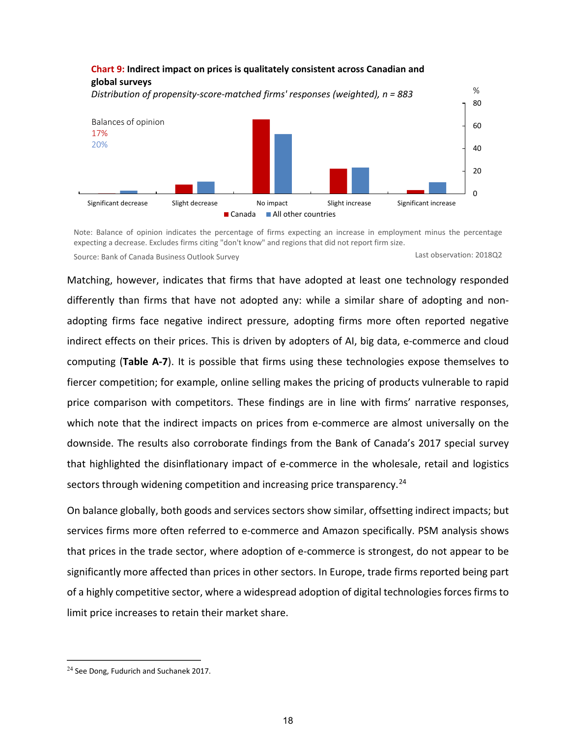

Note: Balance of opinion indicates the percentage of firms expecting an increase in employment minus the percentage expecting a decrease. Excludes firms citing "don't know" and regions that did not report firm size. Source: Bank of Canada Business Outlook Survey Last observation: 2018Q2

Matching, however, indicates that firms that have adopted at least one technology responded differently than firms that have not adopted any: while a similar share of adopting and nonadopting firms face negative indirect pressure, adopting firms more often reported negative indirect effects on their prices. This is driven by adopters of AI, big data, e-commerce and cloud computing (**Table A-7**). It is possible that firms using these technologies expose themselves to fiercer competition; for example, online selling makes the pricing of products vulnerable to rapid price comparison with competitors. These findings are in line with firms' narrative responses, which note that the indirect impacts on prices from e-commerce are almost universally on the downside. The results also corroborate findings from the Bank of Canada's 2017 special survey that highlighted the disinflationary impact of e-commerce in the wholesale, retail and logistics sectors through widening competition and increasing price transparency.<sup>[24](#page-21-0)</sup>

On balance globally, both goods and services sectors show similar, offsetting indirect impacts; but services firms more often referred to e-commerce and Amazon specifically. PSM analysis shows that prices in the trade sector, where adoption of e-commerce is strongest, do not appear to be significantly more affected than prices in other sectors. In Europe, trade firms reported being part of a highly competitive sector, where a widespread adoption of digital technologies forces firms to limit price increases to retain their market share.

<span id="page-21-0"></span> $24$  See Dong, Fudurich and Suchanek 2017.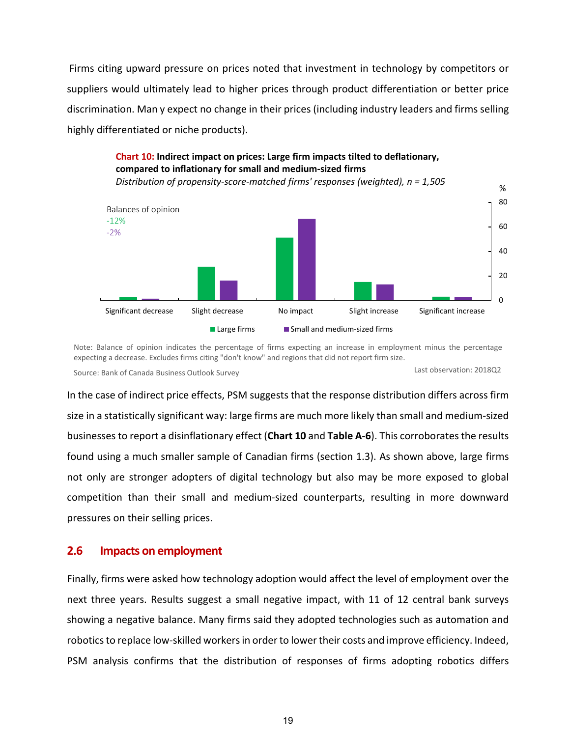Firms citing upward pressure on prices noted that investment in technology by competitors or suppliers would ultimately lead to higher prices through product differentiation or better price discrimination. Man y expect no change in their prices (including industry leaders and firms selling highly differentiated or niche products).



Note: Balance of opinion indicates the percentage of firms expecting an increase in employment minus the percentage expecting a decrease. Excludes firms citing "don't know" and regions that did not report firm size.

Last observation: 2018Q2 Source: Bank of Canada Business Outlook Survey

In the case of indirect price effects, PSM suggests that the response distribution differs across firm size in a statistically significant way: large firms are much more likely than small and medium-sized businesses to report a disinflationary effect (**Chart 10** and **Table A-6**). This corroborates the results found using a much smaller sample of Canadian firms (section 1.3). As shown above, large firms not only are stronger adopters of digital technology but also may be more exposed to global competition than their small and medium-sized counterparts, resulting in more downward pressures on their selling prices.

## **2.6 Impacts on employment**

Finally, firms were asked how technology adoption would affect the level of employment over the next three years. Results suggest a small negative impact, with 11 of 12 central bank surveys showing a negative balance. Many firms said they adopted technologies such as automation and robotics to replace low-skilled workers in order to lower their costs and improve efficiency. Indeed, PSM analysis confirms that the distribution of responses of firms adopting robotics differs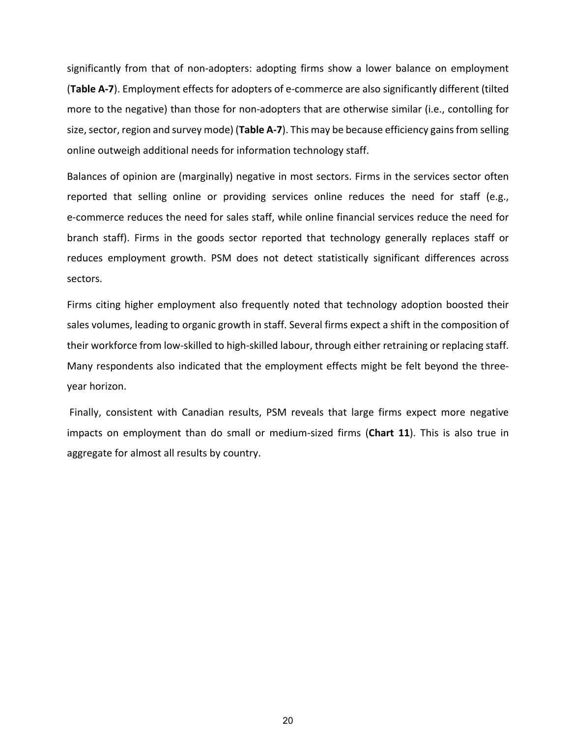significantly from that of non-adopters: adopting firms show a lower balance on employment (**Table A-7**). Employment effects for adopters of e-commerce are also significantly different (tilted more to the negative) than those for non-adopters that are otherwise similar (i.e., contolling for size, sector, region and survey mode) (**Table A-7**). This may be because efficiency gains from selling online outweigh additional needs for information technology staff.

Balances of opinion are (marginally) negative in most sectors. Firms in the services sector often reported that selling online or providing services online reduces the need for staff (e.g., e-commerce reduces the need for sales staff, while online financial services reduce the need for branch staff). Firms in the goods sector reported that technology generally replaces staff or reduces employment growth. PSM does not detect statistically significant differences across sectors.

Firms citing higher employment also frequently noted that technology adoption boosted their sales volumes, leading to organic growth in staff. Several firms expect a shift in the composition of their workforce from low-skilled to high-skilled labour, through either retraining or replacing staff. Many respondents also indicated that the employment effects might be felt beyond the threeyear horizon.

Finally, consistent with Canadian results, PSM reveals that large firms expect more negative impacts on employment than do small or medium-sized firms (**Chart 11**). This is also true in aggregate for almost all results by country.

20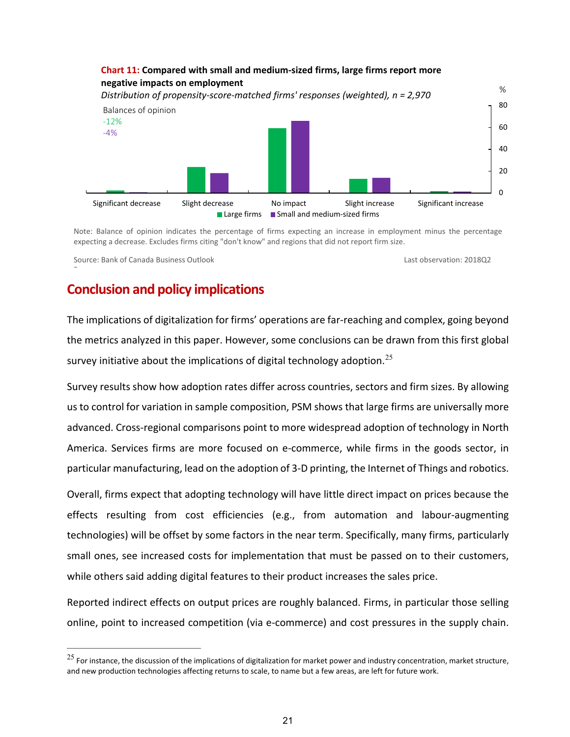

Note: Balance of opinion indicates the percentage of firms expecting an increase in employment minus the percentage expecting a decrease. Excludes firms citing "don't know" and regions that did not report firm size.

Source: Bank of Canada Business Outlook

<sup>-</sup>

Last observation: 2018Q2

## **Conclusion and policy implications**

The implications of digitalization for firms' operations are far-reaching and complex, going beyond the metrics analyzed in this paper. However, some conclusions can be drawn from this first global survey initiative about the implications of digital technology adoption.<sup>[25](#page-24-0)</sup>

Survey results show how adoption rates differ across countries, sectors and firm sizes. By allowing us to control for variation in sample composition, PSM shows that large firms are universally more advanced. Cross-regional comparisons point to more widespread adoption of technology in North America. Services firms are more focused on e-commerce, while firms in the goods sector, in particular manufacturing, lead on the adoption of 3-D printing, the Internet of Things and robotics.

Overall, firms expect that adopting technology will have little direct impact on prices because the effects resulting from cost efficiencies (e.g., from automation and labour-augmenting technologies) will be offset by some factors in the near term. Specifically, many firms, particularly small ones, see increased costs for implementation that must be passed on to their customers, while others said adding digital features to their product increases the sales price.

Reported indirect effects on output prices are roughly balanced. Firms, in particular those selling online, point to increased competition (via e-commerce) and cost pressures in the supply chain.

<span id="page-24-0"></span> $^{25}$  For instance, the discussion of the implications of digitalization for market power and industry concentration, market structure, and new production technologies affecting returns to scale, to name but a few areas, are left for future work.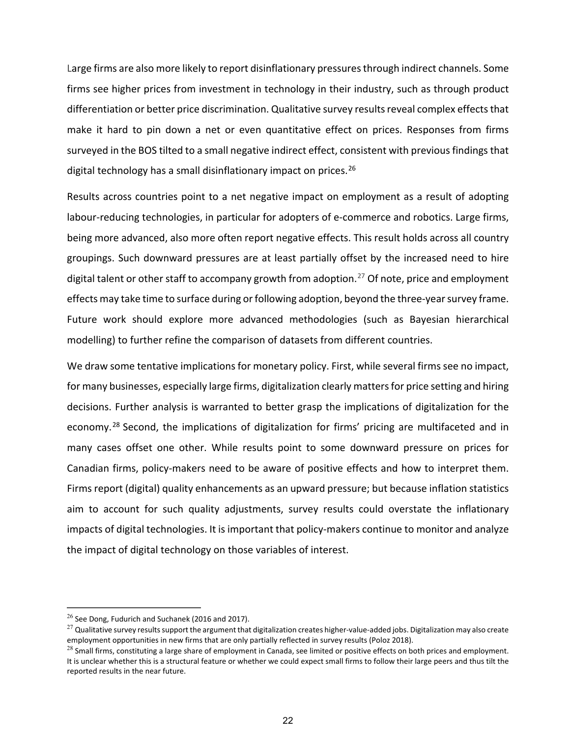Large firms are also more likely to report disinflationary pressures through indirect channels. Some firms see higher prices from investment in technology in their industry, such as through product differentiation or better price discrimination. Qualitative survey results reveal complex effects that make it hard to pin down a net or even quantitative effect on prices. Responses from firms surveyed in the BOS tilted to a small negative indirect effect, consistent with previous findings that digital technology has a small disinflationary impact on prices.<sup>[26](#page-25-0)</sup>

Results across countries point to a net negative impact on employment as a result of adopting labour-reducing technologies, in particular for adopters of e-commerce and robotics. Large firms, being more advanced, also more often report negative effects. This result holds across all country groupings. Such downward pressures are at least partially offset by the increased need to hire digital talent or other staff to accompany growth from adoption. [27](#page-25-1) Of note, price and employment effects may take time to surface during or following adoption, beyond the three-year survey frame. Future work should explore more advanced methodologies (such as Bayesian hierarchical modelling) to further refine the comparison of datasets from different countries.

We draw some tentative implications for monetary policy. First, while several firms see no impact, for many businesses, especially large firms, digitalization clearly matters for price setting and hiring decisions. Further analysis is warranted to better grasp the implications of digitalization for the economy.<sup>[28](#page-25-2)</sup> Second, the implications of digitalization for firms' pricing are multifaceted and in many cases offset one other. While results point to some downward pressure on prices for Canadian firms, policy-makers need to be aware of positive effects and how to interpret them. Firms report (digital) quality enhancements as an upward pressure; but because inflation statistics aim to account for such quality adjustments, survey results could overstate the inflationary impacts of digital technologies. It is important that policy-makers continue to monitor and analyze the impact of digital technology on those variables of interest.

<span id="page-25-0"></span> $26$  See Dong, Fudurich and Suchanek (2016 and 2017).

<span id="page-25-1"></span> $^{27}$  Qualitative survey results support the argument that digitalization creates higher-value-added jobs. Digitalization may also create employment opportunities in new firms that are only partially reflected in survey results (Poloz 2018).

<span id="page-25-2"></span> $^{28}$  Small firms, constituting a large share of employment in Canada, see limited or positive effects on both prices and employment. It is unclear whether this is a structural feature or whether we could expect small firms to follow their large peers and thus tilt the reported results in the near future.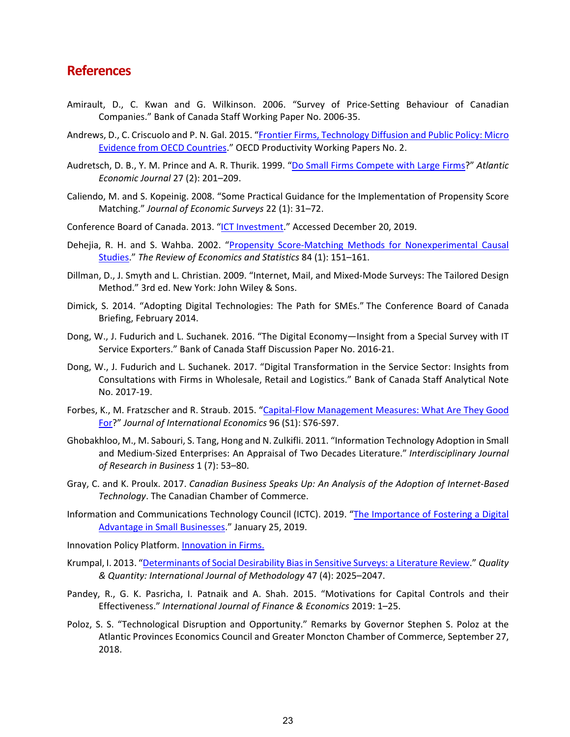## **References**

- Amirault, D., C. Kwan and G. Wilkinson. 2006. "Survey of Price-Setting Behaviour of Canadian Companies." Bank of Canada Staff Working Paper No. 2006-35.
- Andrews, D., C. Criscuolo and P. N. Gal. 2015. "Frontier Firms, [Technology Diffusion and Public Policy: Micro](https://doi.org/10.1787/5jrql2q2jj7b-en)  [Evidence from OECD Countries.](https://doi.org/10.1787/5jrql2q2jj7b-en)" OECD Productivity Working Papers No. 2.
- Audretsch, D. B., Y. M. Prince and A. R. Thurik. 1999. ["Do Small Firms Compete with Large Firms?](https://doi.org/10.1007/bf02300239)" *Atlantic Economic Journal* 27 (2): 201–209.
- Caliendo, M. and S. Kopeinig. 2008. "Some Practical Guidance for the Implementation of Propensity Score Matching." *Journal of Economic Surveys* 22 (1): 31–72.
- Conference Board of Canada. 2013. ["ICT Investment.](https://www.conferenceboard.ca/hcp/Details/Innovation/ict.aspx?AspxAutoDetectCookieSupport=1)" Accessed December 20, 2019.
- Dehejia, R. H. and S. Wahba. 2002. "Propensity Score-Matching Methods for Nonexperimental Causal [Studies.](https://doi.org/10.1162/003465302317331982)" *The Review of Economics and Statistics* 84 (1): 151–161.
- Dillman, D., J. Smyth and L. Christian. 2009. "Internet, Mail, and Mixed-Mode Surveys: The Tailored Design Method." 3rd ed. New York: John Wiley & Sons.
- Dimick, S. 2014. "Adopting Digital Technologies: The Path for SMEs." The Conference Board of Canada Briefing, February 2014.
- Dong, W., J. Fudurich and L. Suchanek. 2016. "The Digital Economy—Insight from a Special Survey with IT Service Exporters." Bank of Canada Staff Discussion Paper No. 2016-21.
- Dong, W., J. Fudurich and L. Suchanek. 2017. ["Digital Transformation in the Service Sector: Insights from](https://www.bankofcanada.ca/wp-content/uploads/2017/11/san2017-19.pdf)  [Consultations with Firms in Wholesale, Retail and Logistics."](https://www.bankofcanada.ca/wp-content/uploads/2017/11/san2017-19.pdf) Bank of Canada Staff Analytical Note No. 2017-19.
- Forbes, K., M. Fratzscher and R. Straub. 2015. ["Capital-Flow Management Measures: What Are They Good](https://doi.org/10.1016/j.jinteco.2014.11.004)  [For?](https://doi.org/10.1016/j.jinteco.2014.11.004)" *Journal of International Economics* 96 (S1): S76-S97.
- Ghobakhloo, M., M. Sabouri, S. Tang, Hong and N. Zulkifli. 2011. "Information Technology Adoption in Small and Medium-Sized Enterprises: An Appraisal of Two Decades Literature." *Interdisciplinary Journal of Research in Business* 1 (7): 53–80.
- Gray, C. and K. Proulx. 2017. *Canadian Business Speaks Up: An Analysis of the Adoption of Internet-Based Technology*. The Canadian Chamber of Commerce.
- Information and Communications Technology Council (ICTC). 2019. ["The Importance of Fostering a Digital](https://www.ictc-ctic.ca/digital-advantage-small-businesses/)  [Advantage in Small Businesses.](https://www.ictc-ctic.ca/digital-advantage-small-businesses/)" January 25, 2019.
- Innovation Policy Platform. [Innovation in Firms.](http://www.innovationpolicyplatform.org/www.innovationpolicyplatform.org/content/large-firms/index.html)
- Krumpal, I. 2013. ["Determinants of Social Desirability Bias in Sensitive Surveys: a Literature Review.](doi:10.1007/s11135-011-9640-9)" *Quality & Quantity: International Journal of Methodology* 47 (4): 2025–2047.
- Pandey, R., G. K. Pasricha, I. Patnaik and A. Shah. 2015. "Motivations for Capital Controls and their Effectiveness." *International Journal of Finance & Economics* 2019: 1–25.
- Poloz, S. S. "Technological Disruption and Opportunity." Remarks by Governor Stephen S. Poloz at the Atlantic Provinces Economics Council and Greater Moncton Chamber of Commerce, September 27, 2018.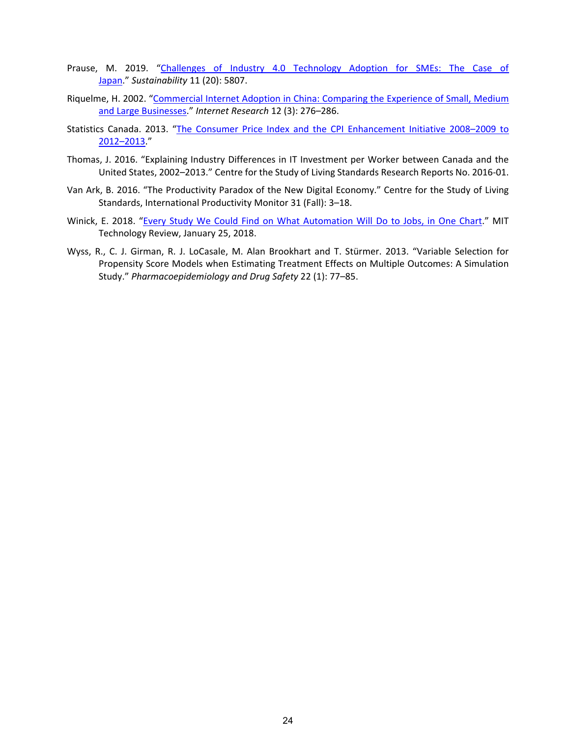- Prause, M. 2019. "Challenges of Industry 4.0 Technology Adoption for SMEs: The Case of [Japan.](https://doi.org/10.3390/su11205807)" *Sustainability* 11 (20): 5807.
- Riquelme, H. 2002. ["Commercial Internet Adoption in China: Comparing the Experience of Small, Medium](https://doi.org/10.1108/10662240210430946)  [and Large Businesses.](https://doi.org/10.1108/10662240210430946)" *Internet Research* 12 (3): 276–286.
- Statistics Canada. 2013. ["The Consumer Price Index and the CPI Enhancement Initiative 2008–2009 to](https://www.statcan.gc.ca/eng/about/er/cpi)  [2012–2013.](https://www.statcan.gc.ca/eng/about/er/cpi)"
- Thomas, J. 2016. "Explaining Industry Differences in IT Investment per Worker between Canada and the United States, 2002–2013." Centre for the Study of Living Standards Research Reports No. 2016-01.
- Van Ark, B. 2016. "The Productivity Paradox of the New Digital Economy." Centre for the Study of Living Standards, International Productivity Monitor 31 (Fall): 3–18.
- Winick, E. 2018. ["Every Study We Could Find on What Automation Will Do to Jobs, in One Chart.](https://www.technologyreview.com/s/610005/every-study-we-could-find-on-what-automation-will-do-to-jobs-in-one-chart/)" MIT Technology Review, January 25, 2018.
- Wyss, R., C. J. Girman, R. J. LoCasale, M. Alan Brookhart and T. Stürmer. 2013. "Variable Selection for Propensity Score Models when Estimating Treatment Effects on Multiple Outcomes: A Simulation Study." *Pharmacoepidemiology and Drug Safety* 22 (1): 77–85.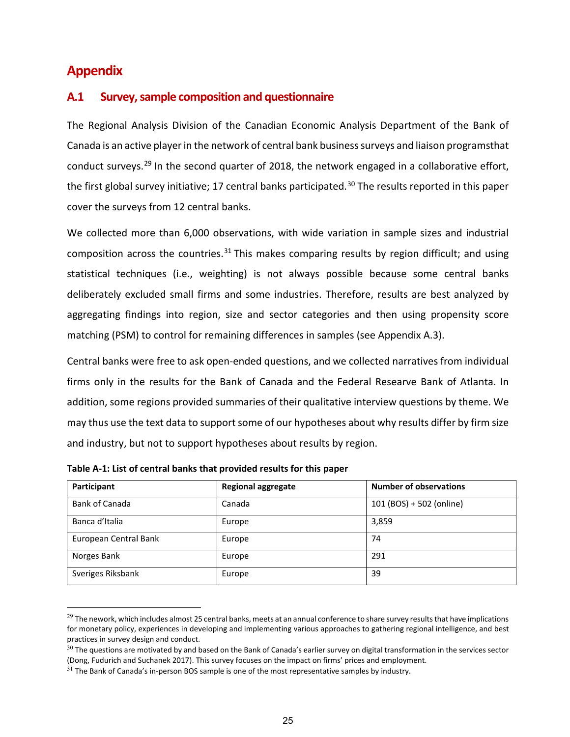## **Appendix**

## **A.1 Survey, sample composition and questionnaire**

The Regional Analysis Division of the Canadian Economic Analysis Department of the Bank of Canada is an active player in the network of central bank business surveys and liaison programsthat conduct surveys.<sup>[29](#page-28-0)</sup> In the second quarter of 2018, the network engaged in a collaborative effort, the first global survey initiative; 17 central banks participated.<sup>[30](#page-28-1)</sup> The results reported in this paper cover the surveys from 12 central banks.

We collected more than 6,000 observations, with wide variation in sample sizes and industrial composition across the countries.<sup>[31](#page-28-2)</sup> This makes comparing results by region difficult; and using statistical techniques (i.e., weighting) is not always possible because some central banks deliberately excluded small firms and some industries. Therefore, results are best analyzed by aggregating findings into region, size and sector categories and then using propensity score matching (PSM) to control for remaining differences in samples (see Appendix A.3).

Central banks were free to ask open-ended questions, and we collected narratives from individual firms only in the results for the Bank of Canada and the Federal Researve Bank of Atlanta. In addition, some regions provided summaries of their qualitative interview questions by theme. We may thus use the text data to support some of our hypotheses about why results differ by firm size and industry, but not to support hypotheses about results by region.

| Participant           | <b>Regional aggregate</b> | <b>Number of observations</b> |
|-----------------------|---------------------------|-------------------------------|
| Bank of Canada        | Canada                    | 101 (BOS) + 502 (online)      |
| Banca d'Italia        | Europe                    | 3,859                         |
| European Central Bank | Europe                    | 74                            |
| Norges Bank           | Europe                    | 291                           |
| Sveriges Riksbank     | Europe                    | 39                            |

**Table A-1: List of central banks that provided results for this paper**

<span id="page-28-0"></span> $29$  The nework, which includes almost 25 central banks, meets at an annual conference to share survey results that have implications for monetary policy, experiences in developing and implementing various approaches to gathering regional intelligence, and best practices in survey design and conduct.

<span id="page-28-1"></span> $30$  The questions are motivated by and based on the Bank of Canada's earlier survey on digital transformation in the services sector (Dong, Fudurich and Suchanek 2017). This survey focuses on the impact on firms' prices and employment.

<span id="page-28-2"></span> $31$  The Bank of Canada's in-person BOS sample is one of the most representative samples by industry.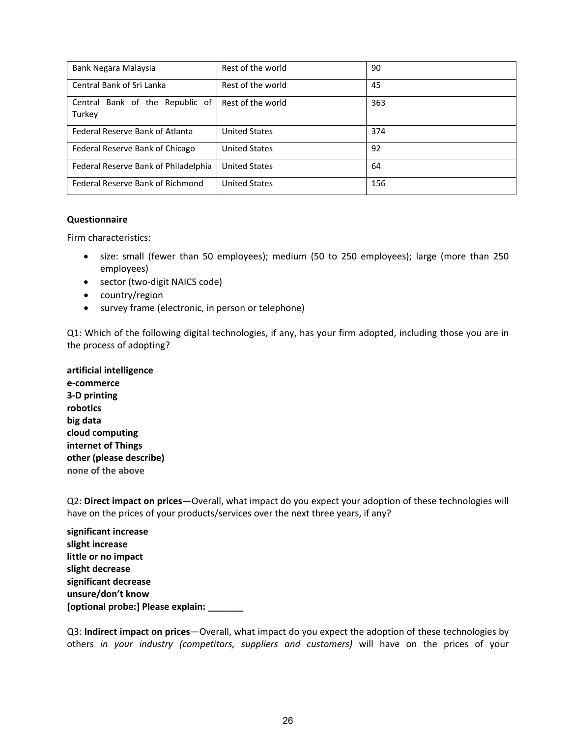| Bank Negara Malaysia                      | Rest of the world    | 90  |
|-------------------------------------------|----------------------|-----|
| Central Bank of Sri Lanka                 | Rest of the world    | 45  |
| Central Bank of the Republic of<br>Turkey | Rest of the world    | 363 |
| <b>Federal Reserve Bank of Atlanta</b>    | <b>United States</b> | 374 |
| Federal Reserve Bank of Chicago           | <b>United States</b> | 92  |
| Federal Reserve Bank of Philadelphia      | <b>United States</b> | 64  |
| Federal Reserve Bank of Richmond          | <b>United States</b> | 156 |

#### **Questionnaire**

Firm characteristics:

- size: small (fewer than 50 employees); medium (50 to 250 employees); large (more than 250 employees)
- sector (two-digit NAICS code)
- country/region
- survey frame (electronic, in person or telephone)

Q1: Which of the following digital technologies, if any, has your firm adopted, including those you are in the process of adopting?

**artificial intelligence e-commerce 3-D printing robotics big data cloud computing internet of Things other (please describe) none of the above**

Q2: **Direct impact on prices**—Overall, what impact do you expect your adoption of these technologies will have on the prices of your products/services over the next three years, if any?

**significant increase slight increase little or no impact slight decrease significant decrease unsure/don't know [optional probe:] Please explain: \_\_\_\_\_\_\_**

Q3: **Indirect impact on prices**—Overall, what impact do you expect the adoption of these technologies by others *in your industry (competitors, suppliers and customers)* will have on the prices of your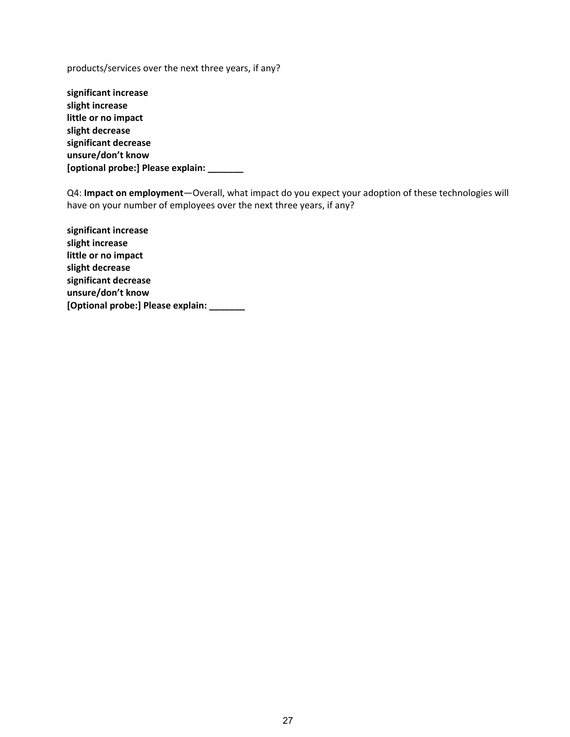products/services over the next three years, if any?

**significant increase slight increase little or no impact slight decrease significant decrease unsure/don't know [optional probe:] Please explain: \_\_\_\_\_\_\_**

Q4: **Impact on employment**—Overall, what impact do you expect your adoption of these technologies will have on your number of employees over the next three years, if any?

**significant increase slight increase little or no impact slight decrease significant decrease unsure/don't know [Optional probe:] Please explain: \_\_\_\_\_\_\_**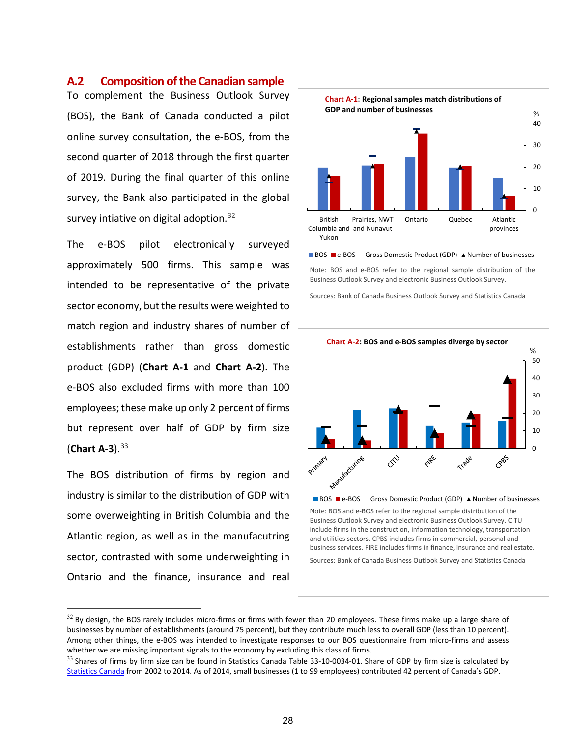#### **A.2 Composition of the Canadian sample**

To complement the Business Outlook Survey (BOS), the Bank of Canada conducted a pilot online survey consultation, the e-BOS, from the second quarter of 2018 through the first quarter of 2019. During the final quarter of this online survey, the Bank also participated in the global survey intiative on digital adoption.<sup>[32](#page-31-0)</sup>

The e-BOS pilot electronically surveyed approximately 500 firms. This sample was intended to be representative of the private sector economy, but the results were weighted to match region and industry shares of number of establishments rather than gross domestic product (GDP) (**Chart A-1** and **Chart A-2**). The e-BOS also excluded firms with more than 100 employees;these make up only 2 percent of firms but represent over half of GDP by firm size (**Chart A-3**). [33](#page-31-1)

The BOS distribution of firms by region and industry is similar to the distribution of GDP with some overweighting in British Columbia and the Atlantic region, as well as in the manufacutring sector, contrasted with some underweighting in Ontario and the finance, insurance and real



BOS **e-BOS** - Gross Domestic Product (GDP) A Number of businesses Note: BOS and e-BOS refer to the regional sample distribution of the

Business Outlook Survey and electronic Business Outlook Survey.

Sources: Bank of Canada Business Outlook Survey and Statistics Canada



<span id="page-31-0"></span> $32$  By design, the BOS rarely includes micro-firms or firms with fewer than 20 employees. These firms make up a large share of businesses by number of establishments (around 75 percent), but they contribute much less to overall GDP (less than 10 percent). Among other things, the e-BOS was intended to investigate responses to our BOS questionnaire from micro-firms and assess whether we are missing important signals to the economy by excluding this class of firms.

<span id="page-31-1"></span> $33$  Shares of firms by firm size can be found in Statistics Canada Table 33-10-0034-01. Share of GDP by firm size is calculated by [Statistics Canada](https://www.ic.gc.ca/eic/site/061.nsf/vwapj/KSBS-PSRPE_Jan_2019_eng.pdf/$file/KSBS-PSRPE_Jan_2019_eng.pdf) from 2002 to 2014. As of 2014, small businesses (1 to 99 employees) contributed 42 percent of Canada's GDP.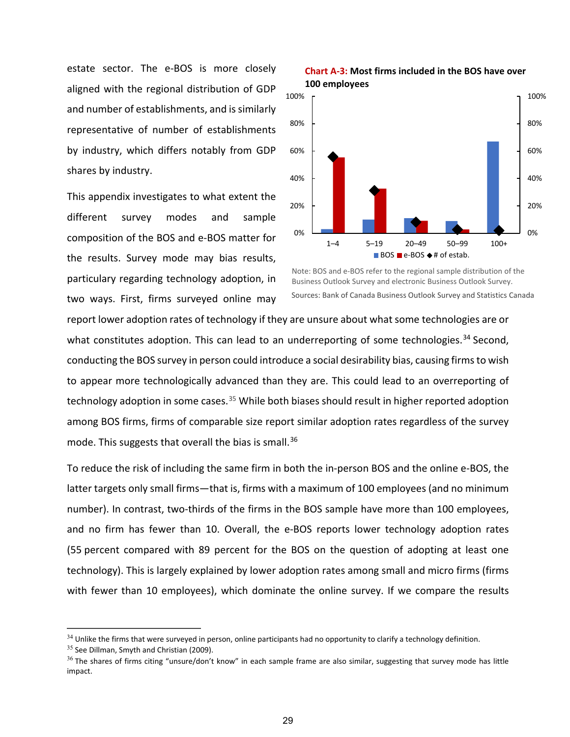estate sector. The e-BOS is more closely aligned with the regional distribution of GDP and number of establishments, and is similarly representative of number of establishments by industry, which differs notably from GDP shares by industry.

This appendix investigates to what extent the different survey modes and sample composition of the BOS and e-BOS matter for the results. Survey mode may bias results, particulary regarding technology adoption, in two ways. First, firms surveyed online may





Note: BOS and e-BOS refer to the regional sample distribution of the Business Outlook Survey and electronic Business Outlook Survey. Sources: Bank of Canada Business Outlook Survey and Statistics Canada

report lower adoption rates of technology if they are unsure about what some technologies are or what constitutes adoption. This can lead to an underreporting of some technologies.<sup>[34](#page-32-0)</sup> Second, conducting the BOS survey in person could introduce a social desirability bias, causing firms to wish to appear more technologically advanced than they are. This could lead to an overreporting of technology adoption in some cases.<sup>[35](#page-32-1)</sup> While both biases should result in higher reported adoption among BOS firms, firms of comparable size report similar adoption rates regardless of the survey mode. This suggests that overall the bias is small. [36](#page-32-2)

To reduce the risk of including the same firm in both the in-person BOS and the online e-BOS, the latter targets only small firms—that is, firms with a maximum of 100 employees (and no minimum number). In contrast, two-thirds of the firms in the BOS sample have more than 100 employees, and no firm has fewer than 10. Overall, the e-BOS reports lower technology adoption rates (55 percent compared with 89 percent for the BOS on the question of adopting at least one technology). This is largely explained by lower adoption rates among small and micro firms (firms with fewer than 10 employees), which dominate the online survey. If we compare the results

<span id="page-32-0"></span> $34$  Unlike the firms that were surveyed in person, online participants had no opportunity to clarify a technology definition.

<span id="page-32-1"></span> $35$  See Dillman, Smyth and Christian (2009).

<span id="page-32-2"></span> $36$  The shares of firms citing "unsure/don't know" in each sample frame are also similar, suggesting that survey mode has little impact.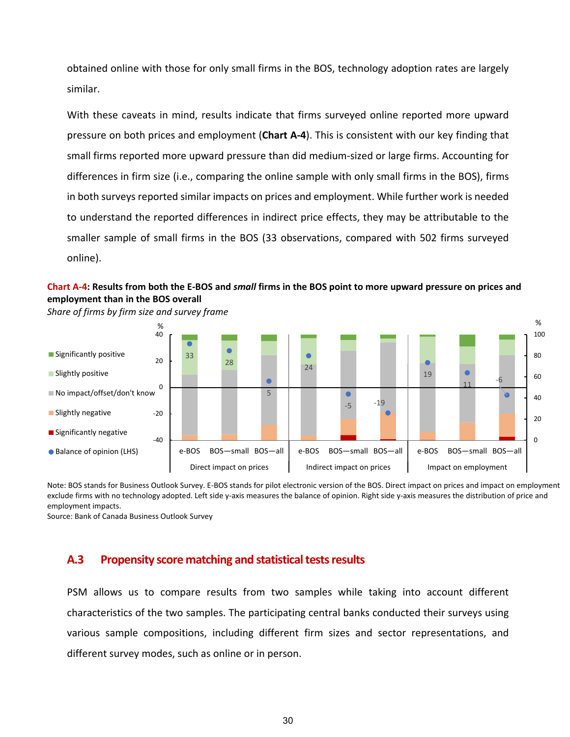obtained online with those for only small firms in the BOS, technology adoption rates are largely similar.

With these caveats in mind, results indicate that firms surveyed online reported more upward pressure on both prices and employment (**Chart A-4**). This is consistent with our key finding that small firms reported more upward pressure than did medium-sized or large firms. Accounting for differences in firm size (i.e., comparing the online sample with only small firms in the BOS), firms in both surveys reported similar impacts on prices and employment. While further work is needed to understand the reported differences in indirect price effects, they may be attributable to the smaller sample of small firms in the BOS (33 observations, compared with 502 firms surveyed online).

## **Chart A-4: Results from both the E-BOS and** *small* **firms in the BOS point to more upward pressure on prices and employment than in the BOS overall**



*Share of firms by firm size and survey frame* 

Note: BOS stands for Business Outlook Survey. E-BOS stands for pilot electronic version of the BOS. Direct impact on prices and impact on employment exclude firms with no technology adopted. Left side y-axis measures the balance of opinion. Right side y-axis measures the distribution of price and employment impacts.

Source: Bank of Canada Business Outlook Survey

## **A.3 Propensity score matching and statistical testsresults**

PSM allows us to compare results from two samples while taking into account different characteristics of the two samples. The participating central banks conducted their surveys using various sample compositions, including different firm sizes and sector representations, and different survey modes, such as online or in person.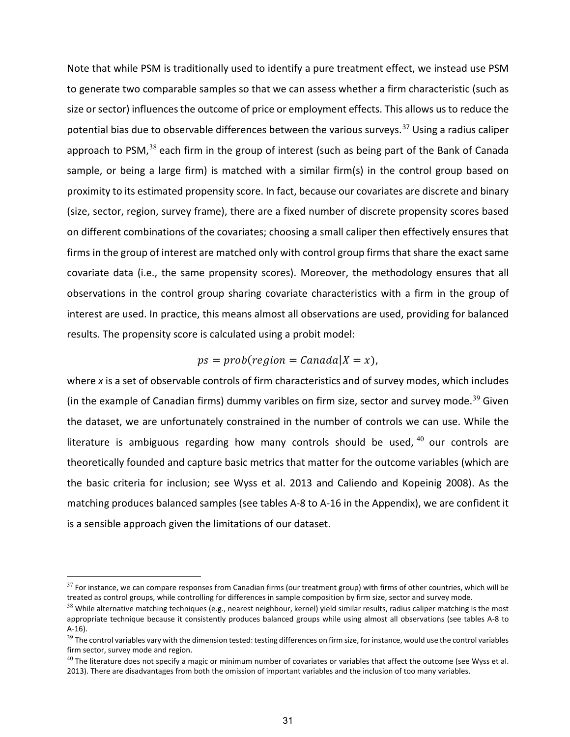Note that while PSM is traditionally used to identify a pure treatment effect, we instead use PSM to generate two comparable samples so that we can assess whether a firm characteristic (such as size or sector) influences the outcome of price or employment effects. This allows us to reduce the potential bias due to observable differences between the various surveys.<sup>[37](#page-34-0)</sup> Using a radius caliper approach to PSM, $^{38}$  $^{38}$  $^{38}$  each firm in the group of interest (such as being part of the Bank of Canada sample, or being a large firm) is matched with a similar firm(s) in the control group based on proximity to its estimated propensity score. In fact, because our covariates are discrete and binary (size, sector, region, survey frame), there are a fixed number of discrete propensity scores based on different combinations of the covariates; choosing a small caliper then effectively ensures that firms in the group of interest are matched only with control group firms that share the exact same covariate data (i.e., the same propensity scores). Moreover, the methodology ensures that all observations in the control group sharing covariate characteristics with a firm in the group of interest are used. In practice, this means almost all observations are used, providing for balanced results. The propensity score is calculated using a probit model:

## $ps = prob($ region =  $\text{Canada} | X = x)$ ,

where *x* is a set of observable controls of firm characteristics and of survey modes, which includes (in the example of Canadian firms) dummy varibles on firm size, sector and survey mode.<sup>[39](#page-34-2)</sup> Given the dataset, we are unfortunately constrained in the number of controls we can use. While the literature is ambiguous regarding how many controls should be used,  $40$  our controls are theoretically founded and capture basic metrics that matter for the outcome variables (which are the basic criteria for inclusion; see Wyss et al. 2013 and Caliendo and Kopeinig 2008). As the matching produces balanced samples (see tables A-8 to A-16 in the Appendix), we are confident it is a sensible approach given the limitations of our dataset.

<span id="page-34-0"></span> $37$  For instance, we can compare responses from Canadian firms (our treatment group) with firms of other countries, which will be treated as control groups, while controlling for differences in sample composition by firm size, sector and survey mode.

<span id="page-34-1"></span> $38$  While alternative matching techniques (e.g., nearest neighbour, kernel) yield similar results, radius caliper matching is the most appropriate technique because it consistently produces balanced groups while using almost all observations (see tables A-8 to A-16).

<span id="page-34-2"></span> $39$  The control variables vary with the dimension tested: testing differences on firm size, for instance, would use the control variables firm sector, survey mode and region.

<span id="page-34-3"></span> $^{40}$  The literature does not specify a magic or minimum number of covariates or variables that affect the outcome (see Wyss et al. 2013). There are disadvantages from both the omission of important variables and the inclusion of too many variables.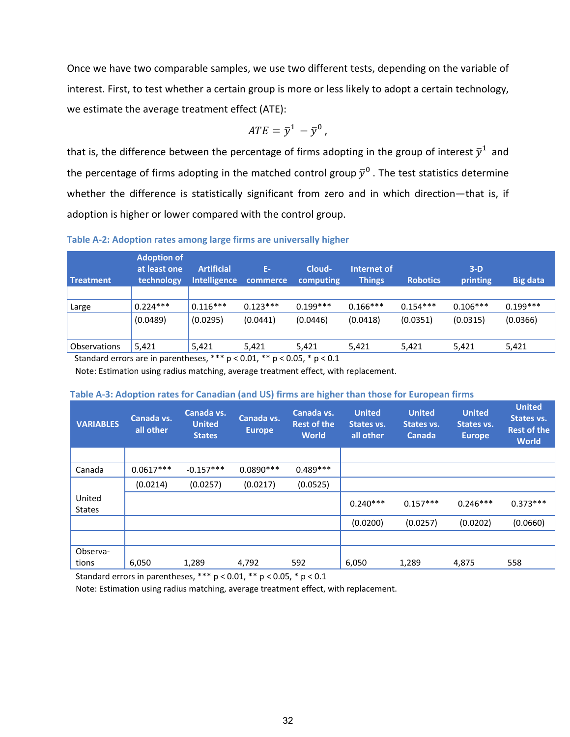Once we have two comparable samples, we use two different tests, depending on the variable of interest. First, to test whether a certain group is more or less likely to adopt a certain technology, we estimate the average treatment effect (ATE):

$$
ATE = \bar{y}^1 - \bar{y}^0,
$$

that is, the difference between the percentage of firms adopting in the group of interest  $\bar{y}^1$  and the percentage of firms adopting in the matched control group  $\bar{y}^0$ . The test statistics determine whether the difference is statistically significant from zero and in which direction-that is, if adoption is higher or lower compared with the control group.

**Table A-2: Adoption rates among large firms are universally higher**

| Treatment    | <b>Adoption of</b><br>at least one<br>technology | <b>Artificial</b><br><b>Intelligence</b> | Ε-<br>commerce | Cloud-<br>computing | Internet of<br><b>Things</b> | <b>Robotics</b> | $3-D$<br>printing | <b>Big data</b> |
|--------------|--------------------------------------------------|------------------------------------------|----------------|---------------------|------------------------------|-----------------|-------------------|-----------------|
|              |                                                  |                                          |                |                     |                              |                 |                   |                 |
| Large        | $0.224***$                                       | $0.116***$                               | $0.123***$     | $0.199***$          | $0.166***$                   | $0.154***$      | $0.106***$        | $0.199***$      |
|              | (0.0489)                                         | (0.0295)                                 | (0.0441)       | (0.0446)            | (0.0418)                     | (0.0351)        | (0.0315)          | (0.0366)        |
|              |                                                  |                                          |                |                     |                              |                 |                   |                 |
| Observations | 5,421                                            | 5,421                                    | 5,421          | 5,421               | 5,421                        | 5,421           | 5,421             | 5,421           |

Standard errors are in parentheses, \*\*\* p < 0.01, \*\* p < 0.05, \* p < 0.1

Note: Estimation using radius matching, average treatment effect, with replacement.

#### **Table A-3: Adoption rates for Canadian (and US) firms are higher than those for European firms**

| <b>VARIABLES</b>        | Canada vs.<br>all other | Canada vs.<br><b>United</b><br><b>States</b> | Canada vs.<br><b>Europe</b> | Canada vs.<br><b>Rest of the</b><br><b>World</b> | <b>United</b><br>States vs.<br>all other | <b>United</b><br>States vs.<br><b>Canada</b> | <b>United</b><br>States vs.<br><b>Europe</b> | <b>United</b><br>States vs.<br><b>Rest of the</b><br><b>World</b> |
|-------------------------|-------------------------|----------------------------------------------|-----------------------------|--------------------------------------------------|------------------------------------------|----------------------------------------------|----------------------------------------------|-------------------------------------------------------------------|
|                         |                         |                                              |                             |                                                  |                                          |                                              |                                              |                                                                   |
| Canada                  | $0.0617***$             | $-0.157***$                                  | $0.0890***$                 | $0.489***$                                       |                                          |                                              |                                              |                                                                   |
|                         | (0.0214)                | (0.0257)                                     | (0.0217)                    | (0.0525)                                         |                                          |                                              |                                              |                                                                   |
| United<br><b>States</b> |                         |                                              |                             |                                                  | $0.240***$                               | $0.157***$                                   | $0.246***$                                   | $0.373***$                                                        |
|                         |                         |                                              |                             |                                                  | (0.0200)                                 | (0.0257)                                     | (0.0202)                                     | (0.0660)                                                          |
|                         |                         |                                              |                             |                                                  |                                          |                                              |                                              |                                                                   |
| Observa-                |                         |                                              |                             |                                                  |                                          |                                              |                                              |                                                                   |
| tions                   | 6,050                   | 1,289                                        | 4,792                       | 592                                              | 6,050                                    | 1,289                                        | 4,875                                        | 558                                                               |

Standard errors in parentheses, \*\*\* p < 0.01, \*\* p < 0.05, \* p < 0.1

Note: Estimation using radius matching, average treatment effect, with replacement.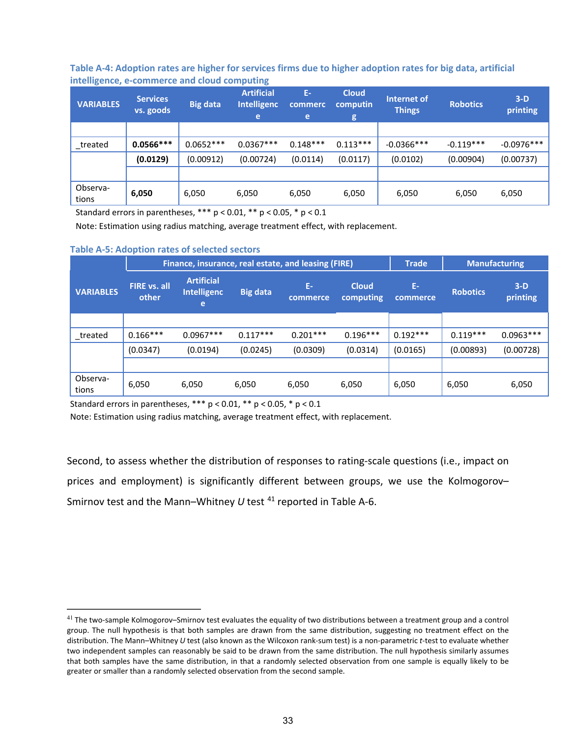**Table A-4: Adoption rates are higher for services firms due to higher adoption rates for big data, artificial intelligence, e-commerce and cloud computing** 

| <b>VARIABLES</b>  | <b>Services</b><br>vs. goods | <b>Big data</b> | <b>Artificial</b><br><b>Intelligenc</b><br>e | Ε.<br>commerc<br>e | <b>Cloud</b><br>computin<br>g | Internet of<br><b>Robotics</b><br><b>Things</b> |             | $3-D$<br>printing |
|-------------------|------------------------------|-----------------|----------------------------------------------|--------------------|-------------------------------|-------------------------------------------------|-------------|-------------------|
|                   |                              |                 |                                              |                    |                               |                                                 |             |                   |
| treated           | $0.0566***$                  | $0.0652***$     | $0.0367***$                                  | $0.148***$         | $0.113***$                    | $-0.0366$ ***                                   | $-0.119***$ | $-0.0976***$      |
|                   | (0.0129)                     | (0.00912)       | (0.00724)                                    | (0.0114)           | (0.0117)                      | (0.0102)                                        | (0.00904)   | (0.00737)         |
|                   |                              |                 |                                              |                    |                               |                                                 |             |                   |
| Observa-<br>tions | 6,050                        | 6,050           | 6,050                                        | 6,050              | 6,050                         | 6,050                                           | 6,050       | 6,050             |

Standard errors in parentheses,  $*** p < 0.01$ ,  $** p < 0.05$ ,  $* p < 0.1$ 

Note: Estimation using radius matching, average treatment effect, with replacement.

#### **Table A-5: Adoption rates of selected sectors**

|                   |                              | Finance, insurance, real estate, and leasing (FIRE) |                 |                |                           |                | <b>Manufacturing</b> |                   |
|-------------------|------------------------------|-----------------------------------------------------|-----------------|----------------|---------------------------|----------------|----------------------|-------------------|
| <b>VARIABLES</b>  | <b>FIRE</b> vs. all<br>other | <b>Artificial</b><br><b>Intelligenc</b><br>e        | <b>Big data</b> | Ε.<br>commerce | <b>Cloud</b><br>computing | Ε.<br>commerce | <b>Robotics</b>      | $3-D$<br>printing |
|                   |                              |                                                     |                 |                |                           |                |                      |                   |
| treated           | $0.166***$                   | $0.0967***$                                         | $0.117***$      | $0.201***$     | $0.196***$                | $0.192***$     | $0.119***$           | $0.0963***$       |
|                   | (0.0347)                     | (0.0194)                                            | (0.0245)        | (0.0309)       | (0.0314)                  | (0.0165)       | (0.00893)            | (0.00728)         |
|                   |                              |                                                     |                 |                |                           |                |                      |                   |
| Observa-<br>tions | 6,050                        | 6,050                                               | 6,050           | 6,050          | 6,050                     | 6,050          | 6,050                | 6,050             |

Standard errors in parentheses,  $*** p < 0.01, ** p < 0.05, * p < 0.1$ 

Note: Estimation using radius matching, average treatment effect, with replacement.

Second, to assess whether the distribution of responses to rating-scale questions (i.e., impact on prices and employment) is significantly different between groups, we use the Kolmogorov– Smirnov test and the Mann-Whitney *U* test <sup>[41](#page-36-0)</sup> reported in Table A-6.

<span id="page-36-0"></span> $41$  The two-sample Kolmogorov–Smirnov test evaluates the equality of two distributions between a treatment group and a control group. The null hypothesis is that both samples are drawn from the same distribution, suggesting no treatment effect on the distribution. The Mann–Whitney *U* test (also known as the Wilcoxon rank-sum test) is a non-parametric *t*-test to evaluate whether two independent samples can reasonably be said to be drawn from the same distribution. The null hypothesis similarly assumes that both samples have the same distribution, in that a randomly selected observation from one sample is equally likely to be greater or smaller than a randomly selected observation from the second sample.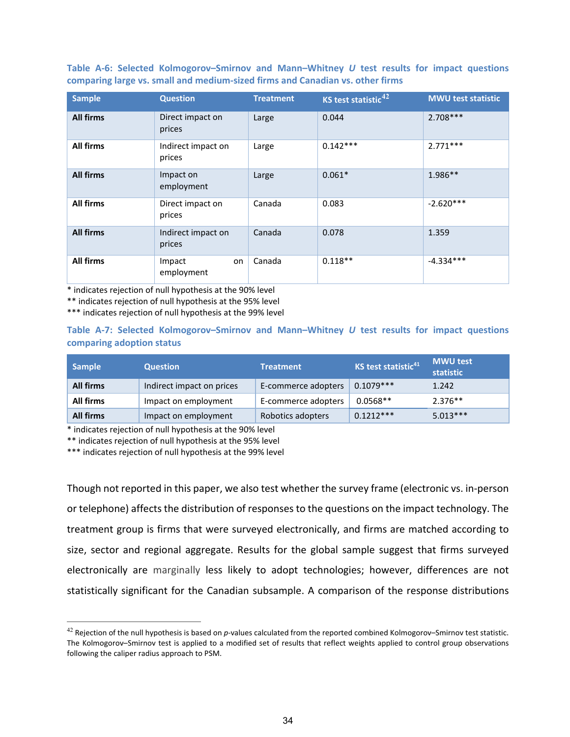**Table A-6: Selected Kolmogorov–Smirnov and Mann–Whitney** *U* **test results for impact questions comparing large vs. small and medium-sized firms and Canadian vs. other firms**

| <b>Sample</b>    | <b>Question</b>              | <b>Treatment</b> | KS test statistic <sup>42</sup> | <b>MWU test statistic</b> |
|------------------|------------------------------|------------------|---------------------------------|---------------------------|
| <b>All firms</b> | Direct impact on<br>prices   | Large            | 0.044                           | $2.708***$                |
| All firms        | Indirect impact on<br>prices | Large            | $0.142***$                      | $2.771***$                |
| <b>All firms</b> | Impact on<br>employment      | Large            | $0.061*$                        | 1.986**                   |
| All firms        | Direct impact on<br>prices   | Canada           | 0.083                           | $-2.620***$               |
| <b>All firms</b> | Indirect impact on<br>prices | Canada           | 0.078                           | 1.359                     |
| All firms        | Impact<br>on<br>employment   | Canada           | $0.118**$                       | $-4.334***$               |

\* indicates rejection of null hypothesis at the 90% level

\*\* indicates rejection of null hypothesis at the 95% level

\*\*\* indicates rejection of null hypothesis at the 99% level

**Table A-7: Selected Kolmogorov–Smirnov and Mann–Whitney** *U* **test results for impact questions comparing adoption status**

| <b>Sample</b>    | <b>Question</b>           | <b>Treatment</b>    | KS test statistic <sup>41</sup> | <b>MWU test</b><br>statistic |
|------------------|---------------------------|---------------------|---------------------------------|------------------------------|
| <b>All firms</b> | Indirect impact on prices | E-commerce adopters | $0.1079***$                     | 1.242                        |
| All firms        | Impact on employment      | E-commerce adopters | $0.0568**$                      | $2.376**$                    |
| <b>All firms</b> | Impact on employment      | Robotics adopters   | $0.1212***$                     | $5.013***$                   |

\* indicates rejection of null hypothesis at the 90% level

\*\* indicates rejection of null hypothesis at the 95% level

\*\*\* indicates rejection of null hypothesis at the 99% level

Though not reported in this paper, we also test whether the survey frame (electronic vs. in-person or telephone) affects the distribution of responses to the questions on the impact technology. The treatment group is firms that were surveyed electronically, and firms are matched according to size, sector and regional aggregate. Results for the global sample suggest that firms surveyed electronically are marginally less likely to adopt technologies; however, differences are not statistically significant for the Canadian subsample. A comparison of the response distributions

<span id="page-37-1"></span><span id="page-37-0"></span><sup>42</sup> Rejection of the null hypothesis is based on *p*-values calculated from the reported combined Kolmogorov–Smirnov test statistic. The Kolmogorov–Smirnov test is applied to a modified set of results that reflect weights applied to control group observations following the caliper radius approach to PSM.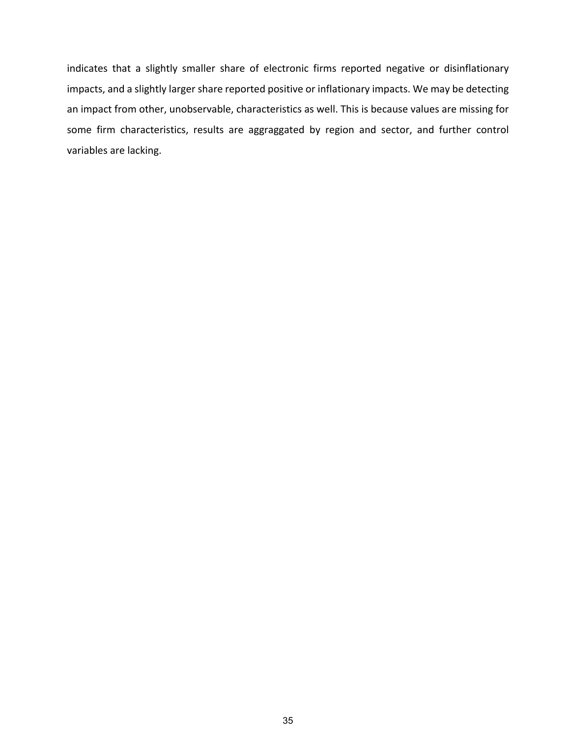indicates that a slightly smaller share of electronic firms reported negative or disinflationary impacts, and a slightly larger share reported positive or inflationary impacts. We may be detecting an impact from other, unobservable, characteristics as well. This is because values are missing for some firm characteristics, results are aggraggated by region and sector, and further control variables are lacking.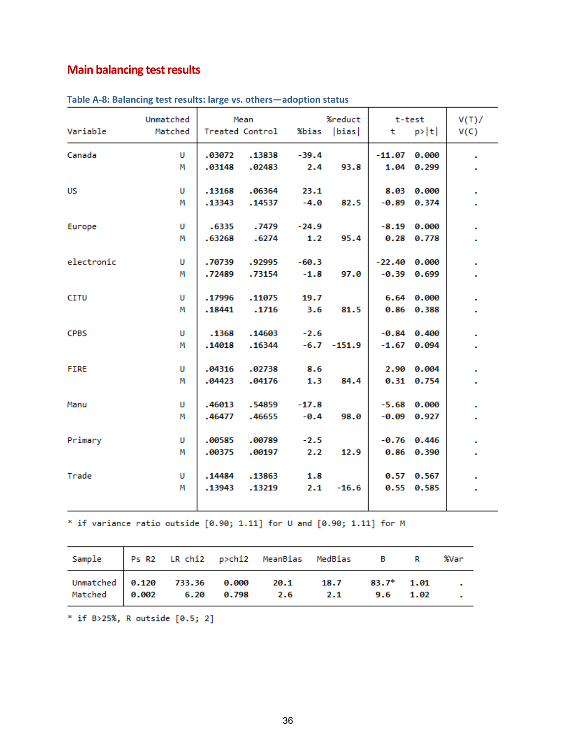## **Main balancing test results**

|             | Unmatched | Mean   |                 | %reduct<br>t-test |               |                | V(T)/           |      |
|-------------|-----------|--------|-----------------|-------------------|---------------|----------------|-----------------|------|
| Variable    | Matched   |        | Treated Control | %bias  bias       |               | t              | p> t            | V(C) |
| Canada      | U         | .03072 | .13838          | $-39.4$           |               | $-11.07$       | 0.000           |      |
|             | м         | .03148 | .02483          | 2.4               | 93.8          |                | 1.04 0.299      |      |
| <b>US</b>   | U         | .13168 | .06364          | 23.1              |               |                | 8.03 0.000      |      |
|             | М         | .13343 | .14537          | $-4.0$            | 82.5          |                | $-0.89$ $0.374$ |      |
| Europe      | U         | .6335  | .7479           | $-24.9$           |               |                | $-8.19$ $0.000$ |      |
|             | М         | .63268 | .6274           | 1.2               | 95.4          |                | 0.28 0.778      |      |
| electronic  | U         | .70739 | .92995          | $-60.3$           |               | $-22.40$ 0.000 |                 |      |
|             | Μ         | .72489 | .73154          | $-1.8$            | 97.0          |                | $-0.39$ $0.699$ |      |
| <b>CITU</b> | U         | .17996 | .11075          | 19.7              |               |                | 6.64 0.000      |      |
|             | м         | .18441 | .1716           | 3.6               | 81.5          |                | 0.86 0.388      |      |
| <b>CPBS</b> | U         | .1368  | .14603          | $-2.6$            |               |                | $-0.84$ $0.400$ |      |
|             | м         | .14018 | .16344          |                   | $-6.7 -151.9$ |                | $-1.67$ 0.094   |      |
| <b>FIRE</b> | U         | .04316 | .02738          | 8.6               |               |                | 2.90 0.004      |      |
|             | М         | .04423 | .04176          | 1.3               | 84.4          |                | 0.31 0.754      |      |
| Manu        | U         | .46013 | .54859          | $-17.8$           |               |                | $-5.68$ 0.000   |      |
|             | М         | .46477 | .46655          | $-0.4$            | 98.0          | $-0.09$        | 0.927           |      |
| Primary     | U         | .00585 | .00789          | $-2.5$            |               |                | $-0.76$ 0.446   |      |
|             | М         | .00375 | .00197          | 2.2               | 12.9          |                | 0.86 0.390      |      |
| Trade       | U         | .14484 | .13863          | 1.8               |               |                | 0.57 0.567      |      |
|             | м         | .13943 | .13219          | 2.1               | $-16.6$       |                | 0.55 0.585      |      |
|             |           |        |                 |                   |               |                |                 |      |

| Table A-8: Balancing test results: large vs. others—adoption status |  |  |  |  |  |
|---------------------------------------------------------------------|--|--|--|--|--|
|---------------------------------------------------------------------|--|--|--|--|--|

\* if variance ratio outside  $[0.90; 1.11]$  for U and  $[0.90; 1.11]$  for M

| Sample Ps R2 LR chi2 p>chi2 MeanBias MedBias B R %Var                                              |  |  |  |  |
|----------------------------------------------------------------------------------------------------|--|--|--|--|
| Unmatched 0.120 733.36 0.000 20.1 18.7 83.7* 1.01 .<br>Matched 0.002 6.20 0.798 2.6 2.1 9.6 1.02 . |  |  |  |  |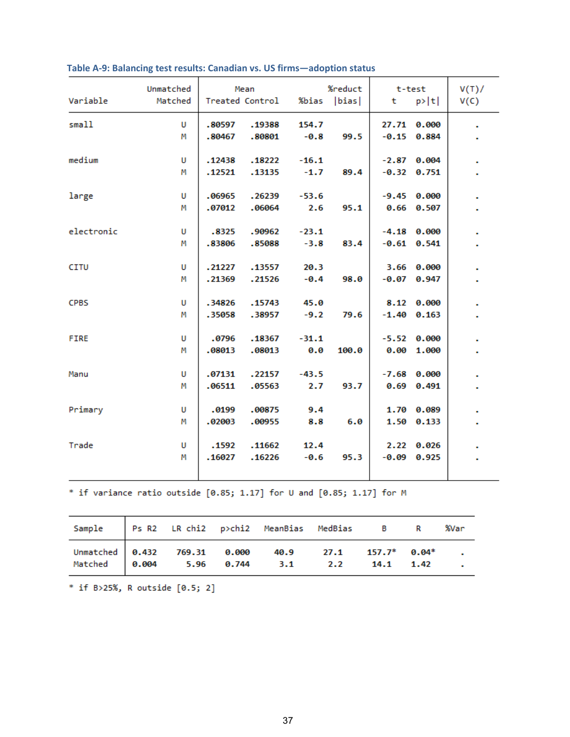| Variable    | Unmatched<br>Matched |                  | Mean<br>Treated Control |                   | %reduct<br>%bias  bias | t. | t-test<br>p> t                   | V(T)<br>V(C) |
|-------------|----------------------|------------------|-------------------------|-------------------|------------------------|----|----------------------------------|--------------|
| small       | U<br>М               | .80597<br>.80467 | .19388<br>.80801        | 154.7<br>$-0.8$   | 99.5                   |    | 27.71 0.000<br>$-0.15$ 0.884     |              |
| medium      | U<br>м               | .12438<br>.12521 | .18222<br>.13135        | $-16.1$<br>$-1.7$ | 89.4                   |    | $-2.87$ 0.004<br>$-0.32$ $0.751$ |              |
| large       | U<br>М               | .06965<br>.07012 | .26239<br>.06064        | $-53.6$<br>2.6    | 95.1                   |    | $-9.45$ 0.000<br>0.66 0.507      |              |
| electronic  | U<br>м               | .8325<br>.83806  | .90962<br>.85088        | $-23.1$<br>$-3.8$ | 83.4                   |    | $-4.18$ 0.000<br>$-0.61$ $0.541$ |              |
| <b>CITU</b> | U<br>М               | .21227<br>.21369 | .13557<br>.21526        | 20.3<br>$-0.4$    | 98.0                   |    | 3.66 0.000<br>$-0.07$ 0.947      |              |
| <b>CPBS</b> | U<br>м               | .34826<br>.35058 | .15743<br>.38957        | 45.0<br>$-9.2$    | 79.6                   |    | 8.12 0.000<br>$-1.40$ 0.163      |              |
| <b>FIRE</b> | U<br>М               | .0796<br>.08013  | .18367<br>.08013        | $-31.1$<br>0.0    | 100.0                  |    | $-5.52$ 0.000<br>0.00 1.000      |              |
| Manu        | U<br>м               | .07131<br>.06511 | .22157<br>.05563        | $-43.5$<br>2.7    | 93.7                   |    | $-7.68$ 0.000<br>$0.69$ $0.491$  |              |
| Primary     | U<br>м               | .0199<br>.02003  | .00875<br>.00955        | 9.4<br>8.8        | 6.0                    |    | 1.70 0.089<br>1.50 0.133         |              |
| Trade       | U<br>М               | .1592<br>.16027  | .11662<br>.16226        | 12.4<br>$-0.6$    | 95.3                   |    | 2.22 0.026<br>$-0.09$ $0.925$    |              |

## **Table A-9: Balancing test results: Canadian vs. US firms—adoption status**

\* if variance ratio outside  $[0.85; 1.17]$  for U and  $[0.85; 1.17]$  for M

| Sample Ps R2 LR chi2 p>chi2 MeanBias MedBias B R %Var                                                 |  |  |  |  |
|-------------------------------------------------------------------------------------------------------|--|--|--|--|
| Unmatched 0.432 769.31 0.000 40.9 27.1 157.7* 0.04* .<br>Matched 0.004 5.96 0.744 3.1 2.2 14.1 1.42 . |  |  |  |  |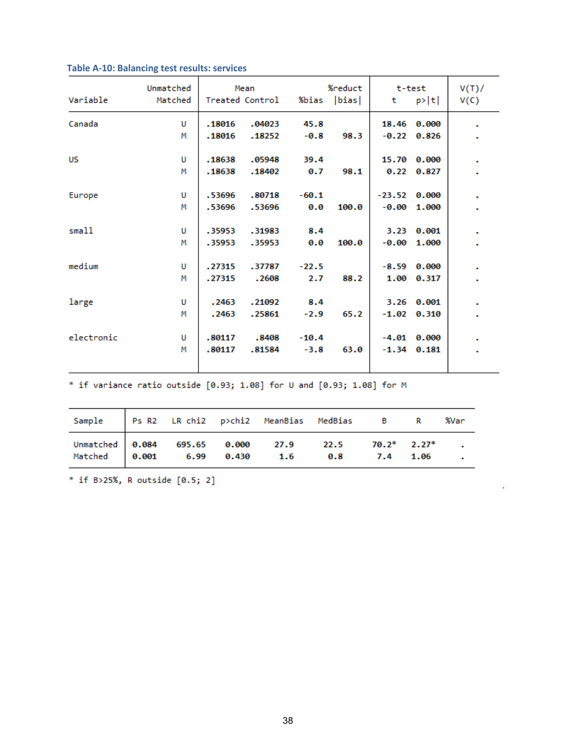| Variable   | Unmatched<br>Matched |        | Mean<br>Treated Control | %bias   | %reduct<br> bias | t              | t-test<br>p> t  | V(T)<br>V(C) |
|------------|----------------------|--------|-------------------------|---------|------------------|----------------|-----------------|--------------|
| Canada     | U                    | .18016 | .04023                  | 45.8    |                  |                | 18.46 0.000     |              |
|            | М                    | .18016 | .18252                  | $-0.8$  | 98.3             |                | $-0.22$ $0.826$ |              |
| <b>US</b>  | U                    | .18638 | .05948                  | 39.4    |                  |                | 15.70 0.000     |              |
|            | Μ                    | .18638 | .18402                  | 0.7     | 98.1             |                | 0.22 0.827      |              |
| Europe     | U                    | .53696 | .80718                  | $-60.1$ |                  | $-23.52$ 0.000 |                 |              |
|            | М                    | .53696 | .53696                  | 0.0     | 100.0            | $-0.00$        | 1.000           |              |
| small      | U                    | .35953 | .31983                  | 8.4     |                  |                | 3.23 0.001      |              |
|            | М                    | .35953 | .35953                  | 0.0     | 100.0            | $-0.00$        | 1.000           |              |
| medium     | U                    | .27315 | .37787                  | $-22.5$ |                  |                | $-8.59$ $0.000$ |              |
|            | М                    | .27315 | .2608                   | 2.7     | 88.2             |                | 1.00 0.317      |              |
| large      | U                    | .2463  | .21092                  | 8.4     |                  |                | 3.26 0.001      |              |
|            | М                    | .2463  | .25861                  | $-2.9$  | 65.2             |                | $-1.02$ 0.310   |              |
| electronic | U                    | .80117 | .8408                   | $-10.4$ |                  |                | $-4.01$ 0.000   |              |
|            | М                    | .80117 | .81584                  | $-3.8$  | 63.0             |                | $-1.34$ 0.181   |              |
|            |                      |        |                         |         |                  |                |                 |              |

## **Table A-10: Balancing test results: services**

\* if variance ratio outside  $[0.93; 1.08]$  for U and  $[0.93; 1.08]$  for M

| Sample Ps R2 LR chi2 p>chi2 MeanBias MedBias B R %Var                                               |  |  |  |  |
|-----------------------------------------------------------------------------------------------------|--|--|--|--|
| Unmatched 0.084 695.65 0.000 27.9 22.5 70.2* 2.27* .<br>Matched 0.001 6.99 0.430 1.6 0.8 7.4 1.06 . |  |  |  |  |

**.**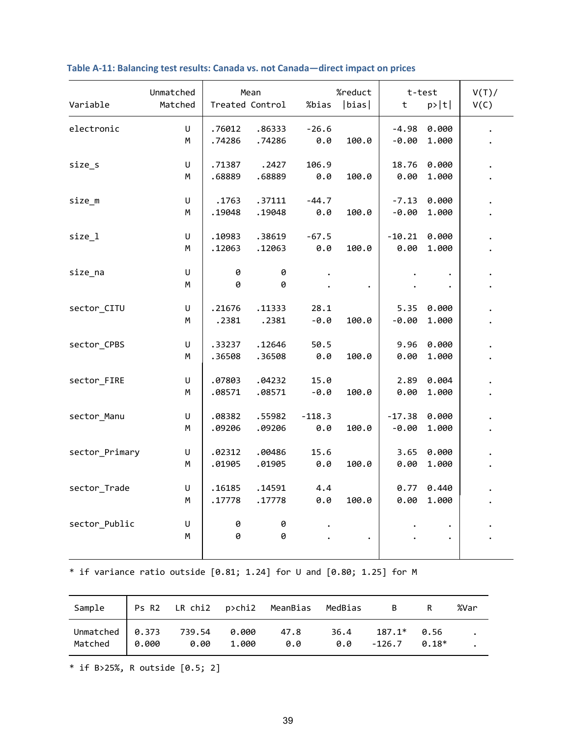| Variable       | Unmatched<br>Matched |                  | Mean<br>Treated Control | %bias           | %reduct<br> bias | t                   | t-test<br>p> t | V(T)<br>V(C) |
|----------------|----------------------|------------------|-------------------------|-----------------|------------------|---------------------|----------------|--------------|
| electronic     | U<br>M               | .76012<br>.74286 | .86333<br>.74286        | $-26.6$<br>0.0  | 100.0            | $-4.98$<br>$-0.00$  | 0.000<br>1.000 |              |
| size_s         | $\sf U$<br>М         | .71387<br>.68889 | .2427<br>.68889         | 106.9<br>0.0    | 100.0            | 18.76<br>0.00       | 0.000<br>1.000 |              |
| $size_m$       | U<br>М               | .1763<br>.19048  | .37111<br>.19048        | $-44.7$<br>0.0  | 100.0            | $-7.13$<br>$-0.00$  | 0.000<br>1.000 |              |
| $size_1$       | U<br>M               | .10983<br>.12063 | .38619<br>.12063        | $-67.5$<br>0.0  | 100.0            | $-10.21$<br>0.00    | 0.000<br>1.000 |              |
| size_na        | U<br>M               | 0<br>0           | 0<br>0                  |                 |                  |                     |                |              |
| sector_CITU    | U<br>М               | .21676<br>.2381  | .11333<br>.2381         | 28.1<br>$-0.0$  | 100.0            | 5.35<br>$-0.00$     | 0.000<br>1.000 |              |
| sector_CPBS    | U<br>М               | .33237<br>.36508 | .12646<br>.36508        | 50.5<br>0.0     | 100.0            | 9.96<br>0.00        | 0.000<br>1.000 |              |
| sector_FIRE    | U<br>M               | .07803<br>.08571 | .04232<br>.08571        | 15.0<br>$-0.0$  | 100.0            | 2.89<br>0.00        | 0.004<br>1.000 |              |
| sector_Manu    | U<br>М               | .08382<br>.09206 | .55982<br>.09206        | $-118.3$<br>0.0 | 100.0            | $-17.38$<br>$-0.00$ | 0.000<br>1.000 |              |
| sector_Primary | U<br>М               | .02312<br>.01905 | .00486<br>.01905        | 15.6<br>0.0     | 100.0            | 3.65<br>0.00        | 0.000<br>1.000 |              |
| sector_Trade   | U<br>M               | .16185<br>.17778 | .14591<br>.17778        | 4.4<br>0.0      | 100.0            | 0.77<br>0.00        | 0.440<br>1.000 |              |
| sector_Public  | U<br>М               | 0<br>0           | 0<br>0                  |                 |                  |                     |                |              |

## **Table A-11: Balancing test results: Canada vs. not Canada—direct impact on prices**

 $*$  if variance ratio outside [0.81; 1.24] for U and [0.80; 1.25] for M

| Sample   Ps R2 LR chi2 p>chi2 MeanBias MedBias B R            |  |     |                                                | %Var |
|---------------------------------------------------------------|--|-----|------------------------------------------------|------|
| Unmatched 0.373 739.54 0.000 47.8<br>Matched 0.000 0.00 1.000 |  | 0.0 | $36.4$ $187.1*$ 0.56<br>$0.0$ $-126.7$ $0.18*$ |      |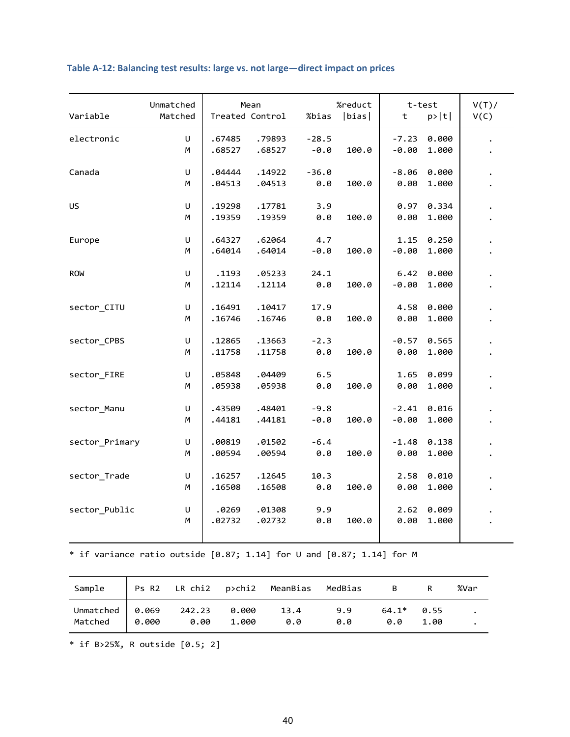|                | Unmatched |        | Mean            |         | %reduct |         | t-test | V(T) |
|----------------|-----------|--------|-----------------|---------|---------|---------|--------|------|
| Variable       | Matched   |        | Treated Control | %bias   | bias    | t       | p> t   | V(C) |
| electronic     | U         | .67485 | .79893          | $-28.5$ |         | $-7.23$ | 0.000  |      |
|                | M         | .68527 | .68527          | $-0.0$  | 100.0   | $-0.00$ | 1.000  |      |
| Canada         | U         | .04444 | .14922          | $-36.0$ |         | $-8.06$ | 0.000  |      |
|                | М         | .04513 | .04513          | 0.0     | 100.0   | 0.00    | 1.000  |      |
| US             | U         | .19298 | .17781          | 3.9     |         | 0.97    | 0.334  |      |
|                | М         | .19359 | .19359          | 0.0     | 100.0   | 0.00    | 1.000  |      |
| Europe         | U         | .64327 | .62064          | 4.7     |         | 1.15    | 0.250  |      |
|                | М         | .64014 | .64014          | $-0.0$  | 100.0   | $-0.00$ | 1.000  |      |
| <b>ROW</b>     | U         | .1193  | .05233          | 24.1    |         | 6.42    | 0.000  |      |
|                | М         | .12114 | .12114          | 0.0     | 100.0   | $-0.00$ | 1.000  |      |
| sector_CITU    | U         | .16491 | .10417          | 17.9    |         | 4.58    | 0.000  |      |
|                | М         | .16746 | .16746          | 0.0     | 100.0   | 0.00    | 1.000  |      |
| sector_CPBS    | U         | .12865 | .13663          | $-2.3$  |         | $-0.57$ | 0.565  |      |
|                | М         | .11758 | .11758          | 0.0     | 100.0   | 0.00    | 1.000  |      |
| sector_FIRE    | U         | .05848 | .04409          | 6.5     |         | 1.65    | 0.099  |      |
|                | М         | .05938 | .05938          | 0.0     | 100.0   | 0.00    | 1.000  |      |
| sector_Manu    | U         | .43509 | .48401          | $-9.8$  |         | $-2.41$ | 0.016  |      |
|                | М         | .44181 | .44181          | $-0.0$  | 100.0   | $-0.00$ | 1.000  |      |
| sector Primary | U         | .00819 | .01502          | $-6.4$  |         | $-1.48$ | 0.138  |      |
|                | М         | .00594 | .00594          | 0.0     | 100.0   | 0.00    | 1.000  |      |
| sector_Trade   | U         | .16257 | .12645          | 10.3    |         | 2.58    | 0.010  |      |
|                | М         | .16508 | .16508          | 0.0     | 100.0   | 0.00    | 1.000  |      |
| sector_Public  | U         | .0269  | .01308          | 9.9     |         | 2.62    | 0.009  |      |
|                | М         | .02732 | .02732          | 0.0     | 100.0   | 0.00    | 1.000  |      |

## **Table A-12: Balancing test results: large vs. not large—direct impact on prices**

 $*$  if variance ratio outside [0.87; 1.14] for U and [0.87; 1.14] for M

| Sample   Ps R2 LR chi2 p>chi2 MeanBias MedBias B R       |  |             |            |                          | %Var |
|----------------------------------------------------------|--|-------------|------------|--------------------------|------|
| Unmatched 0.069 242.23 0.000<br>Matched 0.000 0.00 1.000 |  | 13.4<br>0.0 | 9.9<br>0.0 | $64.1*$ 0.55<br>0.0 1.00 |      |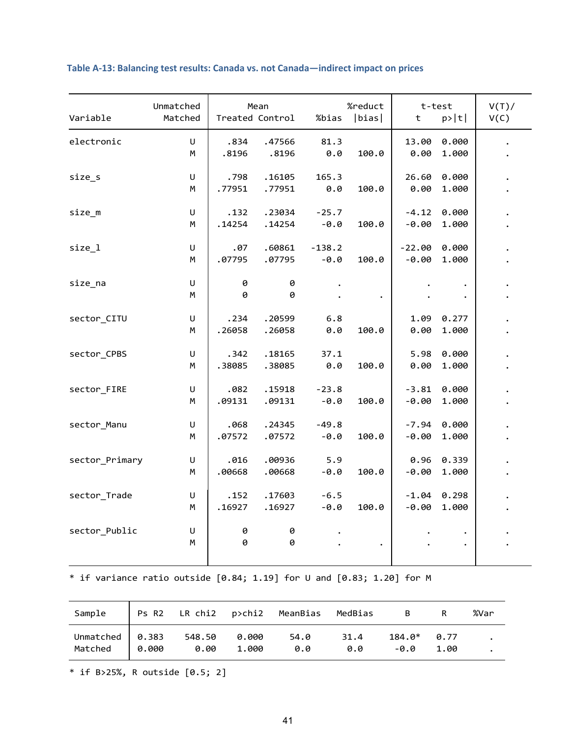| Variable       | Unmatched<br>Matched |                | Mean<br>Treated Control | %bias              | %reduct<br> bias | t                   | t-test<br>p> t | V(T)<br>V(C) |
|----------------|----------------------|----------------|-------------------------|--------------------|------------------|---------------------|----------------|--------------|
| electronic     | U<br>M               | .834<br>.8196  | .47566<br>.8196         | 81.3<br>0.0        | 100.0            | 13.00<br>0.00       | 0.000<br>1.000 |              |
| size_s         | U<br>М               | .798<br>.77951 | .16105<br>.77951        | 165.3<br>0.0       | 100.0            | 26.60<br>0.00       | 0.000<br>1.000 |              |
| size m         | U<br>M               | .132<br>.14254 | .23034<br>.14254        | $-25.7$<br>$-0.0$  | 100.0            | $-4.12$<br>$-0.00$  | 0.000<br>1.000 |              |
| size 1         | $\sf U$<br>м         | .07<br>.07795  | .60861<br>.07795        | $-138.2$<br>$-0.0$ | 100.0            | $-22.00$<br>$-0.00$ | 0.000<br>1.000 |              |
| size_na        | $\sf U$<br>M         | 0<br>0         | 0<br>0                  |                    |                  |                     |                |              |
| sector_CITU    | U<br>М               | .234<br>.26058 | .20599<br>.26058        | 6.8<br>0.0         | 100.0            | 1.09<br>0.00        | 0.277<br>1.000 |              |
| sector_CPBS    | U<br>М               | .342<br>.38085 | .18165<br>.38085        | 37.1<br>0.0        | 100.0            | 5.98<br>0.00        | 0.000<br>1.000 |              |
| sector_FIRE    | U<br>М               | .082<br>.09131 | .15918<br>.09131        | $-23.8$<br>$-0.0$  | 100.0            | $-3.81$<br>$-0.00$  | 0.000<br>1.000 |              |
| sector_Manu    | U<br>м               | .068<br>.07572 | .24345<br>.07572        | $-49.8$<br>$-0.0$  | 100.0            | $-7.94$<br>$-0.00$  | 0.000<br>1.000 |              |
| sector_Primary | U<br>М               | .016<br>.00668 | .00936<br>.00668        | 5.9<br>$-0.0$      | 100.0            | 0.96<br>$-0.00$     | 0.339<br>1.000 |              |
| sector_Trade   | U<br>М               | .152<br>.16927 | .17603<br>.16927        | $-6.5$<br>$-0.0$   | 100.0            | $-1.04$<br>$-0.00$  | 0.298<br>1.000 |              |
| sector_Public  | U<br>M               | 0<br>0         | 0<br>0                  |                    | $\bullet$        |                     |                |              |

## **Table A-13: Balancing test results: Canada vs. not Canada—indirect impact on prices**

 $*$  if variance ratio outside [0.84; 1.19] for U and [0.83; 1.20] for M

| Sample                                                       |                      |       | Ps R2 LR chi2  p>chi2  MeanBias  MedBias |             | $\overline{B}$ and $\overline{B}$ and $\overline{B}$ and $\overline{B}$ and $\overline{B}$ and $\overline{B}$ and $\overline{B}$ and $\overline{B}$ and $\overline{B}$ and $\overline{B}$ and $\overline{B}$ and $\overline{B}$ and $\overline{B}$ and $\overline{B}$ and $\overline{B}$ and $\overline{B}$ and $\overline{B}$ and | %Var |
|--------------------------------------------------------------|----------------------|-------|------------------------------------------|-------------|------------------------------------------------------------------------------------------------------------------------------------------------------------------------------------------------------------------------------------------------------------------------------------------------------------------------------------|------|
| Unmatched $\vert 0.383 \vert$<br>Matched $\vert 0.000 \vert$ | 548.50 0.000<br>0.00 | 1.000 | 54.0<br>0.0                              | 31.4<br>0.0 | $184.0* 0.77$<br>-0.0 1.00                                                                                                                                                                                                                                                                                                         |      |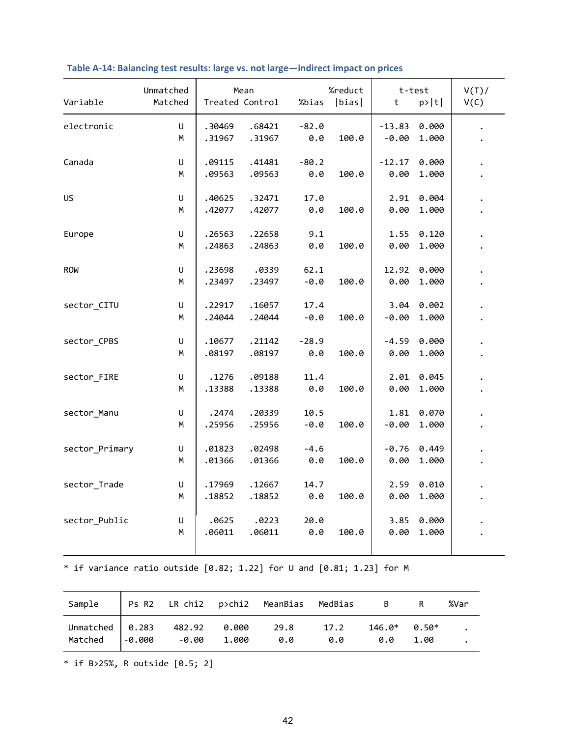| Variable       | Unmatched<br>Matched |                  | Mean<br>Treated Control | %bias          | %reduct<br> bias | t                   | t-test<br>p> t | V(T)<br>V(C) |
|----------------|----------------------|------------------|-------------------------|----------------|------------------|---------------------|----------------|--------------|
| electronic     | U<br>М               | .30469<br>.31967 | .68421<br>.31967        | $-82.0$<br>0.0 | 100.0            | $-13.83$<br>$-0.00$ | 0.000<br>1.000 |              |
| Canada         | U<br>М               | .09115<br>.09563 | .41481<br>.09563        | $-80.2$<br>0.0 | 100.0            | $-12.17$<br>0.00    | 0.000<br>1.000 |              |
| US             | U<br>М               | .40625<br>.42077 | .32471<br>.42077        | 17.0<br>0.0    | 100.0            | 2.91<br>0.00        | 0.004<br>1.000 |              |
| Europe         | U<br>М               | .26563<br>.24863 | .22658<br>.24863        | 9.1<br>0.0     | 100.0            | 1.55<br>0.00        | 0.120<br>1.000 |              |
| <b>ROW</b>     | $\sf U$<br>М         | .23698<br>.23497 | .0339<br>.23497         | 62.1<br>$-0.0$ | 100.0            | 12.92<br>0.00       | 0.000<br>1.000 |              |
| sector_CITU    | $\sf U$<br>М         | .22917<br>.24044 | .16057<br>.24044        | 17.4<br>$-0.0$ | 100.0            | 3.04<br>$-0.00$     | 0.002<br>1.000 |              |
| sector_CPBS    | U<br>М               | .10677<br>.08197 | .21142<br>.08197        | $-28.9$<br>0.0 | 100.0            | $-4.59$<br>0.00     | 0.000<br>1.000 |              |
| sector_FIRE    | U<br>М               | .1276<br>.13388  | .09188<br>.13388        | 11.4<br>0.0    | 100.0            | 2.01<br>0.00        | 0.045<br>1.000 |              |
| sector_Manu    | $\sf U$<br>М         | .2474<br>.25956  | .20339<br>.25956        | 10.5<br>$-0.0$ | 100.0            | 1.81<br>$-0.00$     | 0.070<br>1.000 |              |
| sector_Primary | U<br>М               | .01823<br>.01366 | .02498<br>.01366        | $-4.6$<br>0.0  | 100.0            | $-0.76$<br>0.00     | 0.449<br>1.000 |              |
| sector_Trade   | U<br>М               | .17969<br>.18852 | .12667<br>.18852        | 14.7<br>0.0    | 100.0            | 2.59<br>0.00        | 0.010<br>1.000 |              |
| sector_Public  | U<br>М               | .0625<br>.06011  | .0223<br>.06011         | 20.0<br>0.0    | 100.0            | 3.85<br>0.00        | 0.000<br>1.000 |              |
|                |                      |                  |                         |                |                  |                     |                |              |

## **Table A-14: Balancing test results: large vs. not large—indirect impact on prices**

\* if variance ratio outside [0.82; 1.22] for U and [0.81; 1.23] for M

| Sample   Ps R2 LR chi2 p>chi2 MeanBias MedBias B R                                                 |  |  |  | %Var |
|----------------------------------------------------------------------------------------------------|--|--|--|------|
| Unmatched 0.283 482.92 0.000 29.8 17.2 146.0* 0.50*<br>Matched -0.000 -0.00 1.000 0.0 0.0 0.0 1.00 |  |  |  |      |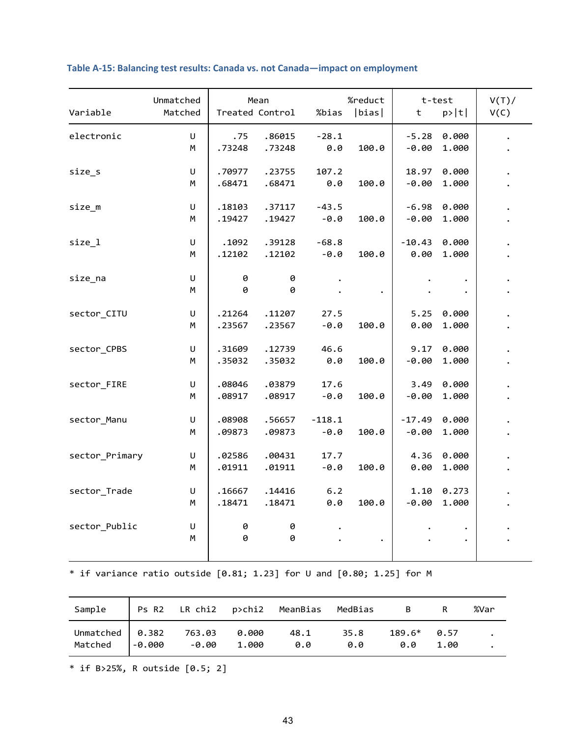| Unmatched<br>Variable<br>Matched |              |                  | Mean<br>Treated Control | %bias              | %reduct<br> bias | t                   | t-test<br>p> t | V(T)<br>V(C) |
|----------------------------------|--------------|------------------|-------------------------|--------------------|------------------|---------------------|----------------|--------------|
| electronic                       | U<br>М       | .75<br>.73248    | .86015<br>.73248        | $-28.1$<br>0.0     | 100.0            | $-5.28$<br>$-0.00$  | 0.000<br>1.000 |              |
| size_s                           | U<br>М       | .70977<br>.68471 | .23755<br>.68471        | 107.2<br>0.0       | 100.0            | 18.97<br>$-0.00$    | 0.000<br>1.000 |              |
| $size_m$                         | U<br>М       | .18103<br>.19427 | .37117<br>.19427        | $-43.5$<br>$-0.0$  | 100.0            | $-6.98$<br>$-0.00$  | 0.000<br>1.000 |              |
| size 1                           | U<br>M       | .1092<br>.12102  | .39128<br>.12102        | $-68.8$<br>$-0.0$  | 100.0            | $-10.43$<br>0.00    | 0.000<br>1.000 |              |
| size na                          | U<br>M       | 0<br>0           | 0<br>0                  |                    |                  |                     | $\bullet$      |              |
| sector_CITU                      | U<br>M       | .21264<br>.23567 | .11207<br>.23567        | 27.5<br>$-0.0$     | 100.0            | 5.25<br>0.00        | 0.000<br>1.000 |              |
| sector_CPBS                      | U<br>М       | .31609<br>.35032 | .12739<br>.35032        | 46.6<br>0.0        | 100.0            | 9.17<br>$-0.00$     | 0.000<br>1.000 |              |
| sector_FIRE                      | U<br>М       | .08046<br>.08917 | .03879<br>.08917        | 17.6<br>$-0.0$     | 100.0            | 3.49<br>$-0.00$     | 0.000<br>1.000 |              |
| sector_Manu                      | $\sf U$<br>м | .08908<br>.09873 | .56657<br>.09873        | $-118.1$<br>$-0.0$ | 100.0            | $-17.49$<br>$-0.00$ | 0.000<br>1.000 |              |
| sector_Primary                   | U<br>M       | .02586<br>.01911 | .00431<br>.01911        | 17.7<br>$-0.0$     | 100.0            | 4.36<br>0.00        | 0.000<br>1.000 |              |
| sector_Trade                     | U<br>м       | .16667<br>.18471 | .14416<br>.18471        | 6.2<br>0.0         | 100.0            | 1.10<br>$-0.00$     | 0.273<br>1.000 |              |
| sector Public                    | U<br>M       | 0<br>0           | 0<br>0                  |                    |                  |                     |                |              |

## **Table A-15: Balancing test results: Canada vs. not Canada—impact on employment**

 $*$  if variance ratio outside  $[0.81; 1.23]$  for U and  $[0.80; 1.25]$  for M

| Sample                                            |       |       | Ps R2 LR chi2  p>chi2  MeanBias  MedBias |             | $\overline{B}$ and $\overline{B}$ and $\overline{B}$ and $\overline{B}$ and $\overline{B}$ and $\overline{B}$ and $\overline{B}$ and $\overline{B}$ and $\overline{B}$ and $\overline{B}$ and $\overline{B}$ and $\overline{B}$ and $\overline{B}$ and $\overline{B}$ and $\overline{B}$ and $\overline{B}$ and $\overline{B}$ and |      | %Var |
|---------------------------------------------------|-------|-------|------------------------------------------|-------------|------------------------------------------------------------------------------------------------------------------------------------------------------------------------------------------------------------------------------------------------------------------------------------------------------------------------------------|------|------|
| Unmatched 0.382 763.03 0.000<br>Matched $ -0.000$ | -0.00 | 1.000 | 48.1<br>0.0                              | 35.8<br>0.0 | $189.6*$ 0.57<br>0.0                                                                                                                                                                                                                                                                                                               | 1.00 |      |